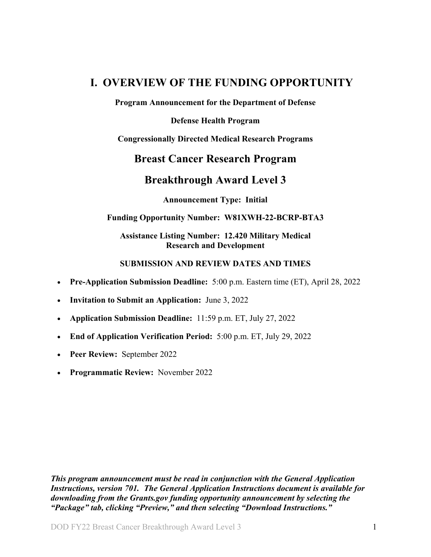# <span id="page-0-0"></span>**I. OVERVIEW OF THE FUNDING OPPORTUNITY**

**Program Announcement for the Department of Defense**

**Defense Health Program**

**Congressionally Directed Medical Research Programs**

# **Breast Cancer Research Program**

# **Breakthrough Award Level 3**

**Announcement Type: Initial**

#### **Funding Opportunity Number: W81XWH-22-BCRP-BTA3**

#### **Assistance Listing Number: 12.420 Military Medical Research and Development**

#### **SUBMISSION AND REVIEW DATES AND TIMES**

- <span id="page-0-1"></span>• **Pre-Application Submission Deadline:** 5:00 p.m. Eastern time (ET), April 28, 2022
- **Invitation to Submit an Application:** June 3, 2022
- **Application Submission Deadline:** 11:59 p.m. ET, July 27, 2022
- **End of Application Verification Period:** 5:00 p.m. ET, July 29, 2022
- **Peer Review:** September 2022
- **Programmatic Review:** November 2022

*This program announcement must be read in conjunction with the General Application Instructions, version 701.**The General Application Instructions document is available for downloading from the Grants.gov funding opportunity announcement by selecting the "Package" tab, clicking "Preview," and then selecting "Download Instructions."*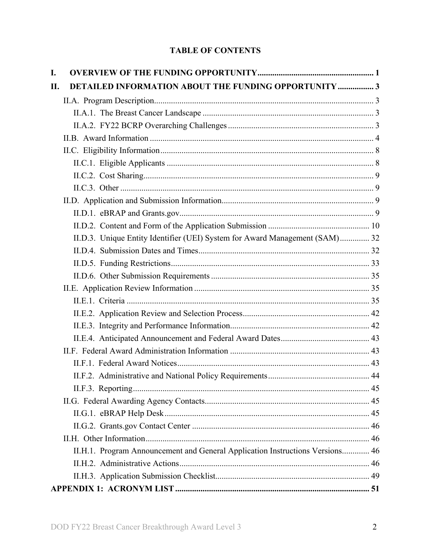# **TABLE OF CONTENTS**

| I.  |                                                                               |  |
|-----|-------------------------------------------------------------------------------|--|
| II. | <b>DETAILED INFORMATION ABOUT THE FUNDING OPPORTUNITY  3</b>                  |  |
|     |                                                                               |  |
|     |                                                                               |  |
|     |                                                                               |  |
|     |                                                                               |  |
|     |                                                                               |  |
|     |                                                                               |  |
|     |                                                                               |  |
|     |                                                                               |  |
|     |                                                                               |  |
|     |                                                                               |  |
|     |                                                                               |  |
|     | II.D.3. Unique Entity Identifier (UEI) System for Award Management (SAM) 32   |  |
|     |                                                                               |  |
|     |                                                                               |  |
|     |                                                                               |  |
|     |                                                                               |  |
|     |                                                                               |  |
|     |                                                                               |  |
|     |                                                                               |  |
|     |                                                                               |  |
|     |                                                                               |  |
|     |                                                                               |  |
|     |                                                                               |  |
|     |                                                                               |  |
|     |                                                                               |  |
|     |                                                                               |  |
|     |                                                                               |  |
|     |                                                                               |  |
|     | II.H.1. Program Announcement and General Application Instructions Versions 46 |  |
|     |                                                                               |  |
|     |                                                                               |  |
|     |                                                                               |  |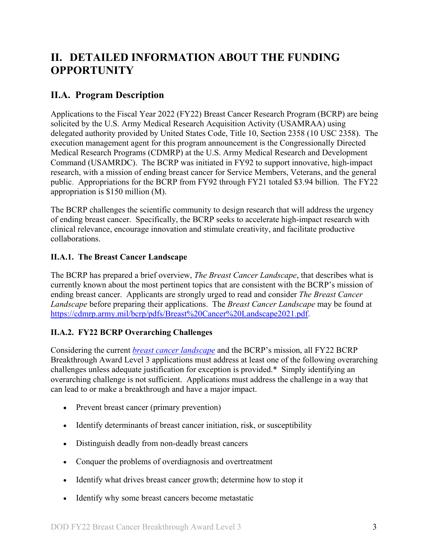# <span id="page-2-0"></span>**II. DETAILED INFORMATION ABOUT THE FUNDING OPPORTUNITY**

# <span id="page-2-1"></span>**II.A. Program Description**

Applications to the Fiscal Year 2022 (FY22) Breast Cancer Research Program (BCRP) are being solicited by the U.S. Army Medical Research Acquisition Activity (USAMRAA) using delegated authority provided by United States Code, Title 10, Section 2358 (10 USC 2358). The execution management agent for this program announcement is the Congressionally Directed Medical Research Programs (CDMRP) at the U.S. Army Medical Research and Development Command (USAMRDC). The BCRP was initiated in FY92 to support innovative, high-impact research, with a mission of ending breast cancer for Service Members, Veterans, and the general public. Appropriations for the BCRP from FY92 through FY21 totaled \$3.94 billion. The FY22 appropriation is \$150 million (M).

The BCRP challenges the scientific community to design research that will address the urgency of ending breast cancer. Specifically, the BCRP seeks to accelerate high-impact research with clinical relevance, encourage innovation and stimulate creativity, and facilitate productive collaborations.

# <span id="page-2-2"></span>**II.A.1. The Breast Cancer Landscape**

The BCRP has prepared a brief overview, *The Breast Cancer Landscape*, that describes what is currently known about the most pertinent topics that are consistent with the BCRP's mission of ending breast cancer. Applicants are strongly urged to read and consider *The Breast Cancer Landscape* before preparing their applications. The *Breast Cancer Landscape* may be found at [https://cdmrp.army.mil/bcrp/pdfs/Breast%20Cancer%20Landscape2021.pdf.](https://cdmrp.army.mil/bcrp/pdfs/Breast%20Cancer%20Landscape2021.pdf)

# <span id="page-2-3"></span>**II.A.2. FY22 BCRP Overarching Challenges**

Considering the current *[breast cancer landscape](https://cdmrp.army.mil/bcrp/pdfs/Breast%20Cancer%20Landscape2021.pdf)* and the BCRP's mission, all FY22 BCRP Breakthrough Award Level 3 applications must address at least one of the following overarching challenges unless adequate justification for exception is provided.\* Simply identifying an overarching challenge is not sufficient. Applications must address the challenge in a way that can lead to or make a breakthrough and have a major impact.

- Prevent breast cancer (primary prevention)
- Identify determinants of breast cancer initiation, risk, or susceptibility
- Distinguish deadly from non-deadly breast cancers
- Conquer the problems of overdiagnosis and overtreatment
- Identify what drives breast cancer growth; determine how to stop it
- Identify why some breast cancers become metastatic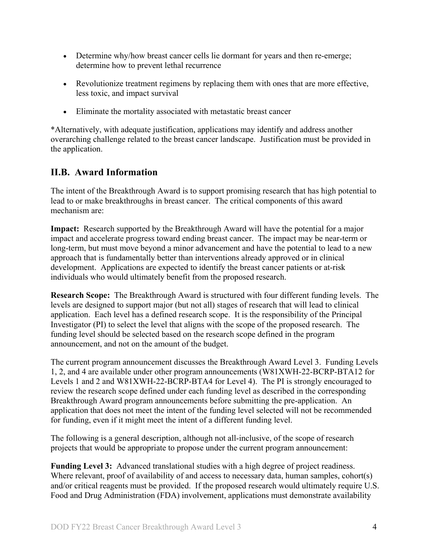- Determine why/how breast cancer cells lie dormant for years and then re-emerge; determine how to prevent lethal recurrence
- Revolutionize treatment regimens by replacing them with ones that are more effective, less toxic, and impact survival
- Eliminate the mortality associated with metastatic breast cancer

\*Alternatively, with adequate justification, applications may identify and address another overarching challenge related to the breast cancer landscape. Justification must be provided in the application.

# <span id="page-3-0"></span>**II.B. Award Information**

The intent of the Breakthrough Award is to support promising research that has high potential to lead to or make breakthroughs in breast cancer. The critical components of this award mechanism are:

**Impact:** Research supported by the Breakthrough Award will have the potential for a major impact and accelerate progress toward ending breast cancer. The impact may be near-term or long-term, but must move beyond a minor advancement and have the potential to lead to a new approach that is fundamentally better than interventions already approved or in clinical development. Applications are expected to identify the breast cancer patients or at-risk individuals who would ultimately benefit from the proposed research.

**Research Scope:** The Breakthrough Award is structured with four different funding levels. The levels are designed to support major (but not all) stages of research that will lead to clinical application. Each level has a defined research scope. It is the responsibility of the Principal Investigator (PI) to select the level that aligns with the scope of the proposed research. The funding level should be selected based on the research scope defined in the program announcement, and not on the amount of the budget.

The current program announcement discusses the Breakthrough Award Level 3. Funding Levels 1, 2, and 4 are available under other program announcements (W81XWH-22-BCRP-BTA12 for Levels 1 and 2 and W81XWH-22-BCRP-BTA4 for Level 4). The PI is strongly encouraged to review the research scope defined under each funding level as described in the corresponding Breakthrough Award program announcements before submitting the pre-application. An application that does not meet the intent of the funding level selected will not be recommended for funding, even if it might meet the intent of a different funding level.

The following is a general description, although not all-inclusive, of the scope of research projects that would be appropriate to propose under the current program announcement:

<span id="page-3-1"></span>**Funding Level 3:** Advanced translational studies with a high degree of project readiness. Where relevant, proof of availability of and access to necessary data, human samples, cohort(s) and/or critical reagents must be provided. If the proposed research would ultimately require U.S. Food and Drug Administration (FDA) involvement, applications must demonstrate availability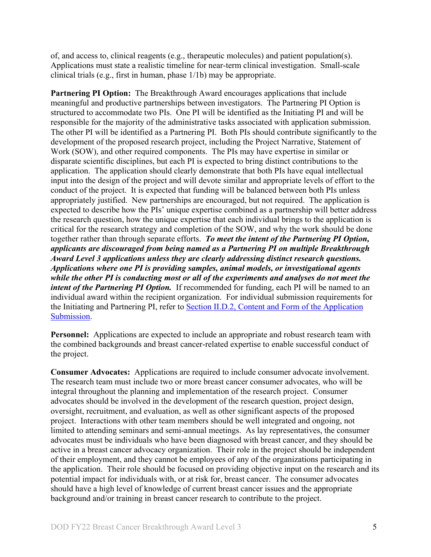of, and access to, clinical reagents (e.g., therapeutic molecules) and patient population(s). Applications must state a realistic timeline for near-term clinical investigation. Small-scale clinical trials (e.g., first in human, phase 1/1b) may be appropriate.

**Partnering PI Option:** The Breakthrough Award encourages applications that include meaningful and productive partnerships between investigators. The Partnering PI Option is structured to accommodate two PIs. One PI will be identified as the Initiating PI and will be responsible for the majority of the administrative tasks associated with application submission. The other PI will be identified as a Partnering PI. Both PIs should contribute significantly to the development of the proposed research project, including the Project Narrative, Statement of Work (SOW), and other required components. The PIs may have expertise in similar or disparate scientific disciplines, but each PI is expected to bring distinct contributions to the application. The application should clearly demonstrate that both PIs have equal intellectual input into the design of the project and will devote similar and appropriate levels of effort to the conduct of the project. It is expected that funding will be balanced between both PIs unless appropriately justified. New partnerships are encouraged, but not required. The application is expected to describe how the PIs' unique expertise combined as a partnership will better address the research question, how the unique expertise that each individual brings to the application is critical for the research strategy and completion of the SOW, and why the work should be done together rather than through separate efforts. *To meet the intent of the Partnering PI Option, applicants are discouraged from being named as a Partnering PI on multiple Breakthrough Award Level 3 applications unless they are clearly addressing distinct research questions. Applications where one PI is providing samples, animal models, or investigational agents while the other PI is conducting most or all of the experiments and analyses do not meet the intent of the Partnering PI Option.* If recommended for funding, each PI will be named to an individual award within the recipient organization. For individual submission requirements for the Initiating and Partnering PI, refer to Section [II.D.2, Content and Form of the Application](#page-9-0)  [Submission.](#page-9-0)

**Personnel:** Applications are expected to include an appropriate and robust research team with the combined backgrounds and breast cancer-related expertise to enable successful conduct of the project.

**Consumer Advocates:** Applications are required to include consumer advocate involvement. The research team must include two or more breast cancer consumer advocates, who will be integral throughout the planning and implementation of the research project. Consumer advocates should be involved in the development of the research question, project design, oversight, recruitment, and evaluation, as well as other significant aspects of the proposed project. Interactions with other team members should be well integrated and ongoing, not limited to attending seminars and semi-annual meetings. As lay representatives, the consumer advocates must be individuals who have been diagnosed with breast cancer, and they should be active in a breast cancer advocacy organization. Their role in the project should be independent of their employment, and they cannot be employees of any of the organizations participating in the application. Their role should be focused on providing objective input on the research and its potential impact for individuals with, or at risk for, breast cancer. The consumer advocates should have a high level of knowledge of current breast cancer issues and the appropriate background and/or training in breast cancer research to contribute to the project.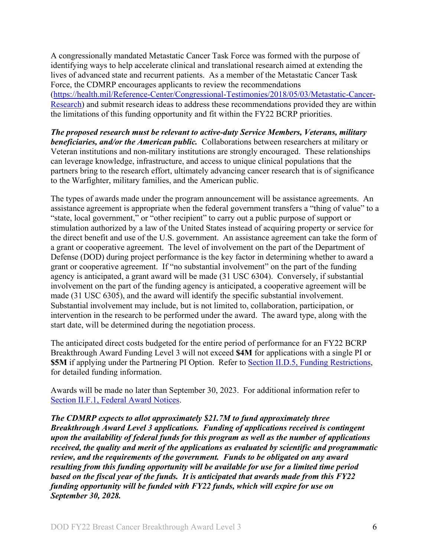A congressionally mandated Metastatic Cancer Task Force was formed with the purpose of identifying ways to help accelerate clinical and translational research aimed at extending the lives of advanced state and recurrent patients. As a member of the Metastatic Cancer Task Force, the CDMRP encourages applicants to review the recommendations [\(https://health.mil/Reference-Center/Congressional-Testimonies/2018/05/03/Metastatic-Cancer-](https://health.mil/Reference-Center/Congressional-Testimonies/2018/05/03/Metastatic-Cancer-Research)[Research\)](https://health.mil/Reference-Center/Congressional-Testimonies/2018/05/03/Metastatic-Cancer-Research) and submit research ideas to address these recommendations provided they are within the limitations of this funding opportunity and fit within the FY22 BCRP priorities.

*The proposed research must be relevant to active-duty Service Members, Veterans, military beneficiaries, and/or the American public.* Collaborations between researchers at military or Veteran institutions and non-military institutions are strongly encouraged. These relationships can leverage knowledge, infrastructure, and access to unique clinical populations that the partners bring to the research effort, ultimately advancing cancer research that is of significance to the Warfighter, military families, and the American public.

The types of awards made under the program announcement will be assistance agreements. An assistance agreement is appropriate when the federal government transfers a "thing of value" to a "state, local government," or "other recipient" to carry out a public purpose of support or stimulation authorized by a law of the United States instead of acquiring property or service for the direct benefit and use of the U.S. government. An assistance agreement can take the form of a grant or cooperative agreement. The level of involvement on the part of the Department of Defense (DOD) during project performance is the key factor in determining whether to award a grant or cooperative agreement. If "no substantial involvement" on the part of the funding agency is anticipated, a grant award will be made (31 USC 6304). Conversely, if substantial involvement on the part of the funding agency is anticipated, a cooperative agreement will be made (31 USC 6305), and the award will identify the specific substantial involvement. Substantial involvement may include, but is not limited to, collaboration, participation, or intervention in the research to be performed under the award. The award type, along with the start date, will be determined during the negotiation process.

The anticipated direct costs budgeted for the entire period of performance for an FY22 BCRP Breakthrough Award Funding Level 3 will not exceed **\$4M** for applications with a single PI or **\$5M** if applying under the Partnering PI Option. Refer to Section [II.D.5, Funding Restrictions,](#page-32-0) for detailed funding information.

Awards will be made no later than September 30, 2023. For additional information refer to [Section II.F.1, Federal Award Notices.](#page-42-2)

*The CDMRP expects to allot approximately \$21.7M to fund approximately three Breakthrough Award Level 3 applications. Funding of applications received is contingent upon the availability of federal funds for this program as well as the number of applications received, the quality and merit of the applications as evaluated by scientific and programmatic review, and the requirements of the government. Funds to be obligated on any award resulting from this funding opportunity will be available for use for a limited time period based on the fiscal year of the funds. It is anticipated that awards made from this FY22 funding opportunity will be funded with FY22 funds, which will expire for use on September 30, 2028.*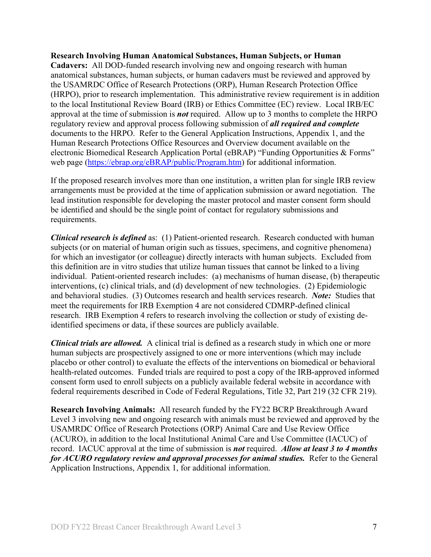#### **Research Involving Human Anatomical Substances, Human Subjects, or Human**

**Cadavers:** All DOD-funded research involving new and ongoing research with human anatomical substances, human subjects, or human cadavers must be reviewed and approved by the USAMRDC Office of Research Protections (ORP), Human Research Protection Office (HRPO), prior to research implementation. This administrative review requirement is in addition to the local Institutional Review Board (IRB) or Ethics Committee (EC) review. Local IRB/EC approval at the time of submission is *not* required. Allow up to 3 months to complete the HRPO regulatory review and approval process following submission of *all required and complete* documents to the HRPO. Refer to the General Application Instructions, Appendix 1, and the Human Research Protections Office Resources and Overview document available on the electronic Biomedical Research Application Portal (eBRAP) "Funding Opportunities & Forms" web page [\(https://ebrap.org/eBRAP/public/Program.htm\)](https://ebrap.org/eBRAP/public/Program.htm) for additional information.

If the proposed research involves more than one institution, a written plan for single IRB review arrangements must be provided at the time of application submission or award negotiation. The lead institution responsible for developing the master protocol and master consent form should be identified and should be the single point of contact for regulatory submissions and requirements.

<span id="page-6-0"></span>*Clinical research is defined* as: (1) Patient-oriented research. Research conducted with human subjects (or on material of human origin such as tissues, specimens, and cognitive phenomena) for which an investigator (or colleague) directly interacts with human subjects. Excluded from this definition are in vitro studies that utilize human tissues that cannot be linked to a living individual. Patient-oriented research includes: (a) mechanisms of human disease, (b) therapeutic interventions, (c) clinical trials, and (d) development of new technologies. (2) Epidemiologic and behavioral studies. (3) Outcomes research and health services research. *Note:* Studies that meet the requirements for IRB Exemption 4 are not considered CDMRP-defined clinical research. IRB Exemption 4 refers to research involving the collection or study of existing deidentified specimens or data, if these sources are publicly available.

*Clinical trials are allowed.* A clinical trial is defined as a research study in which one or more human subjects are prospectively assigned to one or more interventions (which may include placebo or other control) to evaluate the effects of the interventions on biomedical or behavioral health-related outcomes. Funded trials are required to post a copy of the IRB-approved informed consent form used to enroll subjects on a publicly available federal website in accordance with federal requirements described in Code of Federal Regulations, Title 32, Part 219 (32 CFR 219).

**Research Involving Animals:** All research funded by the FY22 BCRP Breakthrough Award Level 3 involving new and ongoing research with animals must be reviewed and approved by the USAMRDC Office of Research Protections (ORP) Animal Care and Use Review Office (ACURO), in addition to the local Institutional Animal Care and Use Committee (IACUC) of record. IACUC approval at the time of submission is *not* required. *Allow at least 3 to 4 months for ACURO regulatory review and approval processes for animal studies.* Refer to the General Application Instructions, Appendix 1, for additional information.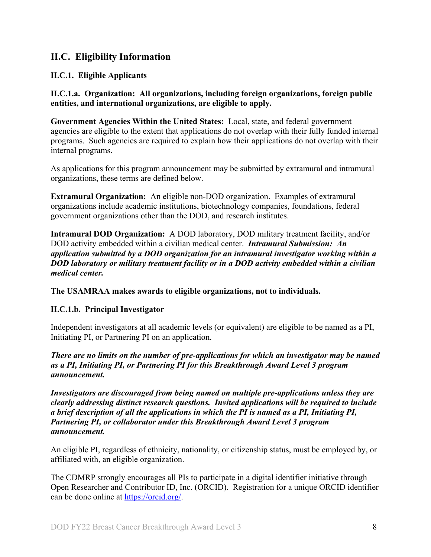# <span id="page-7-0"></span>**II.C. Eligibility Information**

# <span id="page-7-1"></span>**II.C.1. Eligible Applicants**

<span id="page-7-2"></span>**II.C.1.a. Organization: All organizations, including foreign organizations, foreign public entities, and international organizations, are eligible to apply.** 

**Government Agencies Within the United States:** Local, state, and federal government agencies are eligible to the extent that applications do not overlap with their fully funded internal programs. Such agencies are required to explain how their applications do not overlap with their internal programs.

As applications for this program announcement may be submitted by extramural and intramural organizations, these terms are defined below.

**Extramural Organization:** An eligible non-DOD organization. Examples of extramural organizations include academic institutions, biotechnology companies, foundations, federal government organizations other than the DOD, and research institutes.

**Intramural DOD Organization:** A DOD laboratory, DOD military treatment facility, and/or DOD activity embedded within a civilian medical center. *Intramural Submission:**An application submitted by a DOD organization for an intramural investigator working within a DOD laboratory or military treatment facility or in a DOD activity embedded within a civilian medical center.*

**The USAMRAA makes awards to eligible organizations, not to individuals.**

### **II.C.1.b. Principal Investigator**

Independent investigators at all academic levels (or equivalent) are eligible to be named as a PI, Initiating PI, or Partnering PI on an application.

*There are no limits on the number of pre-applications for which an investigator may be named as a PI, Initiating PI, or Partnering PI for this Breakthrough Award Level 3 program announcement.*

*Investigators are discouraged from being named on multiple pre-applications unless they are clearly addressing distinct research questions. Invited applications will be required to include a brief description of all the applications in which the PI is named as a PI, Initiating PI, Partnering PI, or collaborator under this Breakthrough Award Level 3 program announcement.* 

An eligible PI, regardless of ethnicity, nationality, or citizenship status, must be employed by, or affiliated with, an eligible organization.

The CDMRP strongly encourages all PIs to participate in a digital identifier initiative through Open Researcher and Contributor ID, Inc. (ORCID). Registration for a unique ORCID identifier can be done online at [https://orcid.org/.](https://orcid.org/)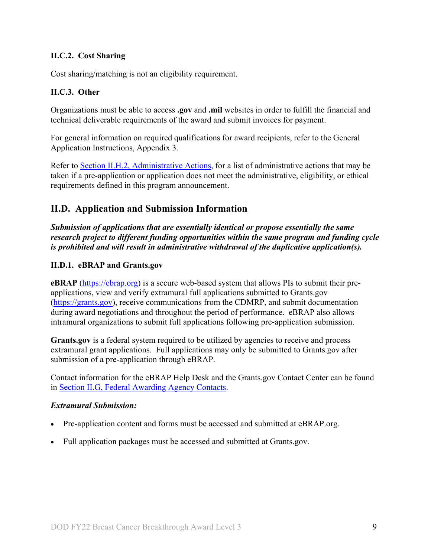# <span id="page-8-0"></span>**II.C.2. Cost Sharing**

Cost sharing/matching is not an eligibility requirement.

#### <span id="page-8-1"></span>**II.C.3. Other**

Organizations must be able to access **.gov** and **.mil** websites in order to fulfill the financial and technical deliverable requirements of the award and submit invoices for payment.

For general information on required qualifications for award recipients, refer to the General Application Instructions, Appendix 3.

Refer to [Section II.H.2, Administrative Actions,](#page-45-3) for a list of administrative actions that may be taken if a pre-application or application does not meet the administrative, eligibility, or ethical requirements defined in this program announcement.

# <span id="page-8-2"></span>**II.D. Application and Submission Information**

*Submission of applications that are essentially identical or propose essentially the same research project to different funding opportunities within the same program and funding cycle is prohibited and will result in administrative withdrawal of the duplicative application(s).*

#### <span id="page-8-3"></span>**II.D.1. eBRAP and Grants.gov**

**eBRAP** [\(https://ebrap.org\)](https://ebrap.org/) is a secure web-based system that allows PIs to submit their preapplications, view and verify extramural full applications submitted to Grants.gov [\(https://grants.gov\)](https://grants.gov/), receive communications from the CDMRP, and submit documentation during award negotiations and throughout the period of performance. eBRAP also allows intramural organizations to submit full applications following pre-application submission.

Grants.gov is a federal system required to be utilized by agencies to receive and process extramural grant applications. Full applications may only be submitted to Grants.gov after submission of a pre-application through eBRAP.

Contact information for the eBRAP Help Desk and the Grants.gov Contact Center can be found in [Section II.G, Federal Awarding Agency Contacts.](#page-44-1)

#### *Extramural Submission:*

- Pre-application content and forms must be accessed and submitted at eBRAP.org.
- Full application packages must be accessed and submitted at Grants.gov.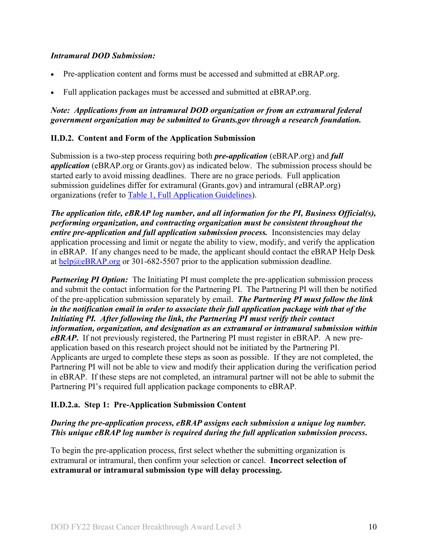#### *Intramural DOD Submission:*

- Pre-application content and forms must be accessed and submitted at eBRAP.org.
- Full application packages must be accessed and submitted at eBRAP.org.

#### *Note: Applications from an intramural DOD organization or from an extramural federal government organization may be submitted to Grants.gov through a research foundation.*

#### <span id="page-9-0"></span>**II.D.2. Content and Form of the Application Submission**

Submission is a two-step process requiring both *pre-application* (eBRAP.org) and *full application* (eBRAP.org or Grants.gov) as indicated below. The submission process should be started early to avoid missing deadlines. There are no grace periods. Full application submission guidelines differ for extramural (Grants.gov) and intramural (eBRAP.org) organizations (refer to [Table 1, Full Application Guidelines\)](#page-14-0).

*The application title, eBRAP log number, and all information for the PI, Business Official(s), performing organization, and contracting organization must be consistent throughout the entire pre-application and full application submission process.* Inconsistencies may delay application processing and limit or negate the ability to view, modify, and verify the application in eBRAP. If any changes need to be made, the applicant should contact the eBRAP Help Desk at [help@eBRAP.org](mailto:help@eBRAP.org) or 301-682-5507 prior to the application submission deadline.

*Partnering PI Option:* The Initiating PI must complete the pre-application submission process and submit the contact information for the Partnering PI. The Partnering PI will then be notified of the pre-application submission separately by email. *The Partnering PI must follow the link in the notification email in order to associate their full application package with that of the Initiating PI. After following the link, the Partnering PI must verify their contact information, organization, and designation as an extramural or intramural submission within eBRAP***.** If not previously registered, the Partnering PI must register in eBRAP. A new preapplication based on this research project should not be initiated by the Partnering PI. Applicants are urged to complete these steps as soon as possible. If they are not completed, the Partnering PI will not be able to view and modify their application during the verification period in eBRAP. If these steps are not completed, an intramural partner will not be able to submit the Partnering PI's required full application package components to eBRAP.

#### **II.D.2.a. Step 1: Pre-Application Submission Content**

### *During the pre-application process, eBRAP assigns each submission a unique log number. This unique eBRAP log number is required during the full application submission process***.**

To begin the pre-application process, first select whether the submitting organization is extramural or intramural, then confirm your selection or cancel. **Incorrect selection of extramural or intramural submission type will delay processing.**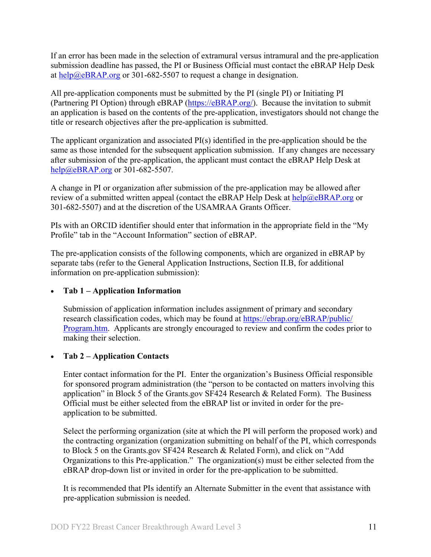If an error has been made in the selection of extramural versus intramural and the pre-application submission deadline has passed, the PI or Business Official must contact the eBRAP Help Desk at [help@eBRAP.org](mailto:help@eBRAP.org) or 301-682-5507 to request a change in designation.

All pre-application components must be submitted by the PI (single PI) or Initiating PI (Partnering PI Option) through eBRAP [\(https://eBRAP.org/\)](https://ebrap.org/). Because the invitation to submit an application is based on the contents of the pre-application, investigators should not change the title or research objectives after the pre-application is submitted.

The applicant organization and associated PI(s) identified in the pre-application should be the same as those intended for the subsequent application submission. If any changes are necessary after submission of the pre-application, the applicant must contact the eBRAP Help Desk at [help@eBRAP.org](mailto:help@eBRAP.org) or 301-682-5507.

A change in PI or organization after submission of the pre-application may be allowed after review of a submitted written appeal (contact the eBRAP Help Desk at  $\frac{he}{p}$ ) eBRAP.org or 301-682-5507) and at the discretion of the USAMRAA Grants Officer.

PIs with an ORCID identifier should enter that information in the appropriate field in the "My Profile" tab in the "Account Information" section of eBRAP.

The pre-application consists of the following components, which are organized in eBRAP by separate tabs (refer to the General Application Instructions, Section II.B, for additional information on pre-application submission):

### • **Tab 1 – Application Information**

Submission of application information includes assignment of primary and secondary research classification codes, which may be found at [https://ebrap.org/eBRAP/public/](https://ebrap.org/eBRAP/public/Program.htm) [Program.htm.](https://ebrap.org/eBRAP/public/Program.htm) Applicants are strongly encouraged to review and confirm the codes prior to making their selection.

### • **Tab 2 – Application Contacts**

Enter contact information for the PI. Enter the organization's Business Official responsible for sponsored program administration (the "person to be contacted on matters involving this application" in Block 5 of the Grants.gov SF424 Research & Related Form). The Business Official must be either selected from the eBRAP list or invited in order for the preapplication to be submitted.

Select the performing organization (site at which the PI will perform the proposed work) and the contracting organization (organization submitting on behalf of the PI, which corresponds to Block 5 on the Grants.gov SF424 Research & Related Form), and click on "Add Organizations to this Pre-application." The organization(s) must be either selected from the eBRAP drop-down list or invited in order for the pre-application to be submitted.

It is recommended that PIs identify an Alternate Submitter in the event that assistance with pre-application submission is needed.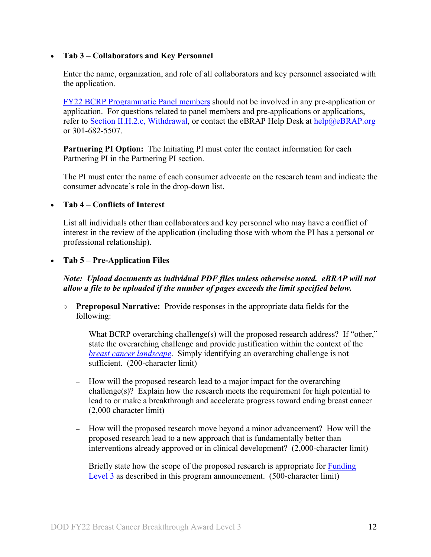#### • **Tab 3 – Collaborators and Key Personnel**

Enter the name, organization, and role of all collaborators and key personnel associated with the application.

FY22 [BCRP Programmatic Panel members](http://cdmrp.army.mil/bcrp/panels/panels22) should not be involved in any pre-application or application. For questions related to panel members and pre-applications or applications, refer to Section [II.H.2.c, Withdrawal,](#page-46-0) or contact the eBRAP Help Desk at [help@eBRAP.org](mailto:help@eBRAP.org) or 301-682-5507.

**Partnering PI Option:**The Initiating PI must enter the contact information for each Partnering PI in the Partnering PI section.

The PI must enter the name of each consumer advocate on the research team and indicate the consumer advocate's role in the drop-down list.

#### • **Tab 4 – Conflicts of Interest**

List all individuals other than collaborators and key personnel who may have a conflict of interest in the review of the application (including those with whom the PI has a personal or professional relationship).

#### • **Tab 5 – Pre-Application Files**

### *Note: Upload documents as individual PDF files unless otherwise noted. eBRAP will not allow a file to be uploaded if the number of pages exceeds the limit specified below.*

- **Preproposal Narrative:** Provide responses in the appropriate data fields for the following:
	- What BCRP overarching challenge(s) will the proposed research address? If "other," state the overarching challenge and provide justification within the context of the *[breast cancer landscape](https://cdmrp.army.mil/bcrp/pdfs/Breast%20Cancer%20Landscape2021.pdf)*. Simply identifying an overarching challenge is not sufficient. (200-character limit)
	- How will the proposed research lead to a major impact for the overarching challenge(s)? Explain how the research meets the requirement for high potential to lead to or make a breakthrough and accelerate progress toward ending breast cancer (2,000 character limit)
	- How will the proposed research move beyond a minor advancement? How will the proposed research lead to a new approach that is fundamentally better than interventions already approved or in clinical development? (2,000-character limit)
	- $-$  Briefly state how the scope of the proposed research is appropriate for Funding [Level](#page-3-1) 3 as described in this program announcement. (500-character limit)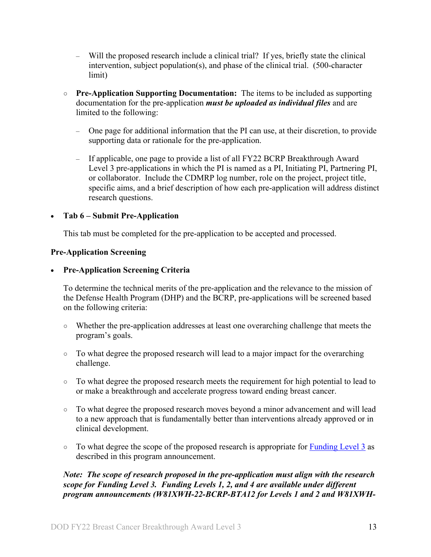- Will the proposed research include a clinical trial? If yes, briefly state the clinical intervention, subject population(s), and phase of the clinical trial. (500-character limit)
- **○ Pre-Application Supporting Documentation:** The items to be included as supporting documentation for the pre-application *must be uploaded as individual files* and are limited to the following:
	- One page for additional information that the PI can use, at their discretion, to provide supporting data or rationale for the pre-application.
	- If applicable, one page to provide a list of all FY22 BCRP Breakthrough Award Level 3 pre-applications in which the PI is named as a PI, Initiating PI, Partnering PI, or collaborator. Include the CDMRP log number, role on the project, project title, specific aims, and a brief description of how each pre-application will address distinct research questions.

### • **Tab 6 – Submit Pre-Application**

This tab must be completed for the pre-application to be accepted and processed.

#### **Pre-Application Screening**

#### • **Pre-Application Screening Criteria**

To determine the technical merits of the pre-application and the relevance to the mission of the Defense Health Program (DHP) and the BCRP, pre-applications will be screened based on the following criteria:

- Whether the pre-application addresses at least one overarching challenge that meets the program's goals.
- To what degree the proposed research will lead to a major impact for the overarching challenge.
- To what degree the proposed research meets the requirement for high potential to lead to or make a breakthrough and accelerate progress toward ending breast cancer.
- To what degree the proposed research moves beyond a minor advancement and will lead to a new approach that is fundamentally better than interventions already approved or in clinical development.
- To what degree the scope of the proposed research is appropriate for [Funding Level](#page-3-1) 3 as described in this program announcement.

*Note: The scope of research proposed in the pre-application must align with the research scope for Funding Level 3. Funding Levels 1, 2, and 4 are available under different program announcements (W81XWH-22-BCRP-BTA12 for Levels 1 and 2 and W81XWH-*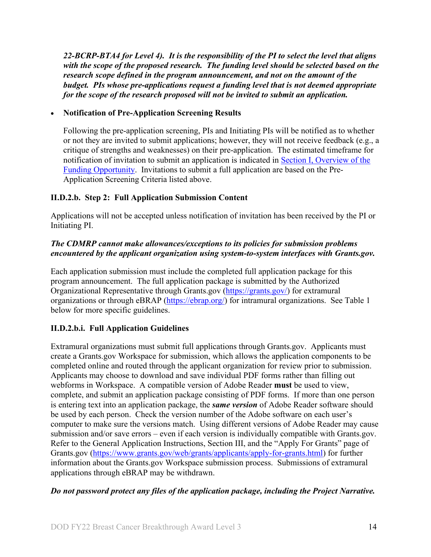*22-BCRP-BTA4 for Level 4). It is the responsibility of the PI to select the level that aligns with the scope of the proposed research. The funding level should be selected based on the research scope defined in the program announcement, and not on the amount of the budget. PIs whose pre-applications request a funding level that is not deemed appropriate for the scope of the research proposed will not be invited to submit an application.*

# • **Notification of Pre-Application Screening Results**

Following the pre-application screening, PIs and Initiating PIs will be notified as to whether or not they are invited to submit applications; however, they will not receive feedback (e.g., a critique of strengths and weaknesses) on their pre-application. The estimated timeframe for notification of invitation to submit an application is indicated in Section [I, Overview of the](#page-0-1)  [Funding Opportunity.](#page-0-1) Invitations to submit a full application are based on the Pre-Application Screening Criteria listed above.

# **II.D.2.b. Step 2: Full Application Submission Content**

Applications will not be accepted unless notification of invitation has been received by the PI or Initiating PI.

# *The CDMRP cannot make allowances/exceptions to its policies for submission problems encountered by the applicant organization using system-to-system interfaces with Grants.gov.*

Each application submission must include the completed full application package for this program announcement. The full application package is submitted by the Authorized Organizational Representative through Grants.gov [\(https://grants.gov/\)](https://grants.gov/) for extramural organizations or through eBRAP [\(https://ebrap.org/\)](https://ebrap.org/) for intramural organizations. See Table 1 below for more specific guidelines.

# **II.D.2.b.i. Full Application Guidelines**

Extramural organizations must submit full applications through Grants.gov. Applicants must create a Grants.gov Workspace for submission, which allows the application components to be completed online and routed through the applicant organization for review prior to submission. Applicants may choose to download and save individual PDF forms rather than filling out webforms in Workspace. A compatible version of Adobe Reader **must** be used to view, complete, and submit an application package consisting of PDF forms. If more than one person is entering text into an application package, the *same version* of Adobe Reader software should be used by each person. Check the version number of the Adobe software on each user's computer to make sure the versions match. Using different versions of Adobe Reader may cause submission and/or save errors – even if each version is individually compatible with Grants.gov. Refer to the General Application Instructions, Section III, and the "Apply For Grants" page of Grants.gov [\(https://www.grants.gov/web/grants/applicants/apply-for-grants.html\)](https://www.grants.gov/web/grants/applicants/apply-for-grants.html) for further information about the Grants.gov Workspace submission process. Submissions of extramural applications through eBRAP may be withdrawn.

### *Do not password protect any files of the application package, including the Project Narrative.*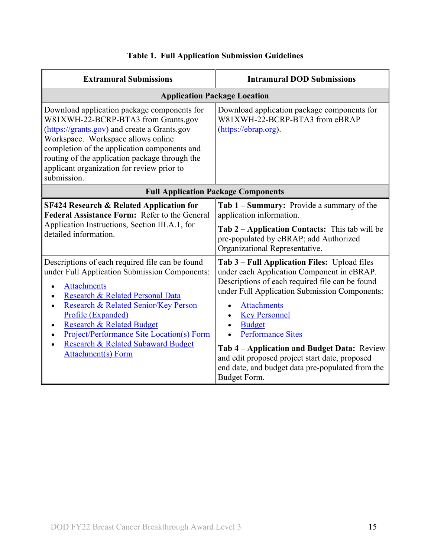<span id="page-14-0"></span>

| <b>Extramural Submissions</b>                                                                                                                                                                                                                                                                                                                                                    | <b>Intramural DOD Submissions</b>                                                                                                                                                                                                                                                                                                                                                                                                                              |  |  |  |
|----------------------------------------------------------------------------------------------------------------------------------------------------------------------------------------------------------------------------------------------------------------------------------------------------------------------------------------------------------------------------------|----------------------------------------------------------------------------------------------------------------------------------------------------------------------------------------------------------------------------------------------------------------------------------------------------------------------------------------------------------------------------------------------------------------------------------------------------------------|--|--|--|
| <b>Application Package Location</b>                                                                                                                                                                                                                                                                                                                                              |                                                                                                                                                                                                                                                                                                                                                                                                                                                                |  |  |  |
| Download application package components for<br>W81XWH-22-BCRP-BTA3 from Grants.gov<br>(https://grants.gov) and create a Grants.gov<br>Workspace. Workspace allows online<br>completion of the application components and<br>routing of the application package through the<br>applicant organization for review prior to<br>submission.                                          | Download application package components for<br>W81XWH-22-BCRP-BTA3 from eBRAP<br>(https://ebrap.org).                                                                                                                                                                                                                                                                                                                                                          |  |  |  |
| <b>Full Application Package Components</b>                                                                                                                                                                                                                                                                                                                                       |                                                                                                                                                                                                                                                                                                                                                                                                                                                                |  |  |  |
| <b>SF424 Research &amp; Related Application for</b><br>Federal Assistance Form: Refer to the General<br>Application Instructions, Section III.A.1, for<br>detailed information.                                                                                                                                                                                                  | Tab 1 – Summary: Provide a summary of the<br>application information.<br>Tab 2 – Application Contacts: This tab will be<br>pre-populated by eBRAP; add Authorized<br>Organizational Representative.                                                                                                                                                                                                                                                            |  |  |  |
| Descriptions of each required file can be found<br>under Full Application Submission Components:<br><b>Attachments</b><br>Research & Related Personal Data<br>Research & Related Senior/Key Person<br>Profile (Expanded)<br><b>Research &amp; Related Budget</b><br>Project/Performance Site Location(s) Form<br>Research & Related Subaward Budget<br><b>Attachment(s)</b> Form | Tab 3 – Full Application Files: Upload files<br>under each Application Component in eBRAP.<br>Descriptions of each required file can be found<br>under Full Application Submission Components:<br><b>Attachments</b><br><b>Key Personnel</b><br><b>Budget</b><br><b>Performance Sites</b><br>Tab 4 – Application and Budget Data: Review<br>and edit proposed project start date, proposed<br>end date, and budget data pre-populated from the<br>Budget Form. |  |  |  |

# **Table 1. Full Application Submission Guidelines**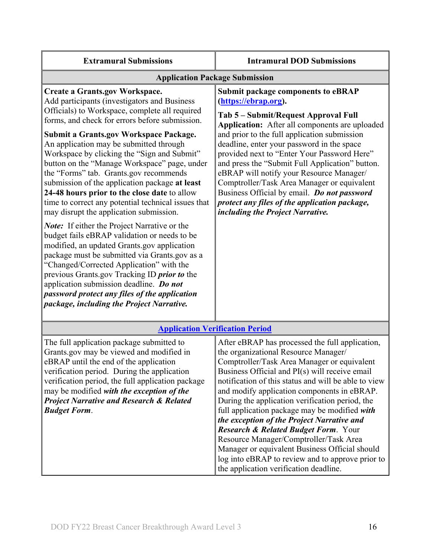| <b>Extramural Submissions</b>                                                                                                                                                                                                                                                                                                                                                                                                                                                                                                                                                                                                                                                                                                                                                                                                                                                                                                                                                                                                                                                  | <b>Intramural DOD Submissions</b>                                                                                                                                                                                                                                                                                                                                                                                                                                                                                                                                                                                                                                                              |  |  |  |
|--------------------------------------------------------------------------------------------------------------------------------------------------------------------------------------------------------------------------------------------------------------------------------------------------------------------------------------------------------------------------------------------------------------------------------------------------------------------------------------------------------------------------------------------------------------------------------------------------------------------------------------------------------------------------------------------------------------------------------------------------------------------------------------------------------------------------------------------------------------------------------------------------------------------------------------------------------------------------------------------------------------------------------------------------------------------------------|------------------------------------------------------------------------------------------------------------------------------------------------------------------------------------------------------------------------------------------------------------------------------------------------------------------------------------------------------------------------------------------------------------------------------------------------------------------------------------------------------------------------------------------------------------------------------------------------------------------------------------------------------------------------------------------------|--|--|--|
| <b>Application Package Submission</b>                                                                                                                                                                                                                                                                                                                                                                                                                                                                                                                                                                                                                                                                                                                                                                                                                                                                                                                                                                                                                                          |                                                                                                                                                                                                                                                                                                                                                                                                                                                                                                                                                                                                                                                                                                |  |  |  |
| <b>Create a Grants.gov Workspace.</b><br>Add participants (investigators and Business<br>Officials) to Workspace, complete all required<br>forms, and check for errors before submission.<br><b>Submit a Grants.gov Workspace Package.</b><br>An application may be submitted through<br>Workspace by clicking the "Sign and Submit"<br>button on the "Manage Workspace" page, under<br>the "Forms" tab. Grants.gov recommends<br>submission of the application package at least<br>24-48 hours prior to the close date to allow<br>time to correct any potential technical issues that<br>may disrupt the application submission.<br><b>Note:</b> If either the Project Narrative or the<br>budget fails eBRAP validation or needs to be<br>modified, an updated Grants.gov application<br>package must be submitted via Grants.gov as a<br>"Changed/Corrected Application" with the<br>previous Grants.gov Tracking ID prior to the<br>application submission deadline. Do not<br>password protect any files of the application<br>package, including the Project Narrative. | <b>Submit package components to eBRAP</b><br>(https://ebrap.org).<br>Tab 5 - Submit/Request Approval Full<br>Application: After all components are uploaded<br>and prior to the full application submission<br>deadline, enter your password in the space<br>provided next to "Enter Your Password Here"<br>and press the "Submit Full Application" button.<br>eBRAP will notify your Resource Manager/<br>Comptroller/Task Area Manager or equivalent<br>Business Official by email. Do not password<br>protect any files of the application package,<br>including the Project Narrative.                                                                                                     |  |  |  |
| <b>Application Verification Period</b>                                                                                                                                                                                                                                                                                                                                                                                                                                                                                                                                                                                                                                                                                                                                                                                                                                                                                                                                                                                                                                         |                                                                                                                                                                                                                                                                                                                                                                                                                                                                                                                                                                                                                                                                                                |  |  |  |
| The full application package submitted to<br>Grants.gov may be viewed and modified in<br>eBRAP until the end of the application<br>verification period. During the application<br>verification period, the full application package<br>may be modified with the exception of the<br><b>Project Narrative and Research &amp; Related</b><br><b>Budget Form.</b>                                                                                                                                                                                                                                                                                                                                                                                                                                                                                                                                                                                                                                                                                                                 | After eBRAP has processed the full application,<br>the organizational Resource Manager/<br>Comptroller/Task Area Manager or equivalent<br>Business Official and PI(s) will receive email<br>notification of this status and will be able to view<br>and modify application components in eBRAP.<br>During the application verification period, the<br>full application package may be modified with<br>the exception of the Project Narrative and<br><b>Research &amp; Related Budget Form.</b> Your<br>Resource Manager/Comptroller/Task Area<br>Manager or equivalent Business Official should<br>log into eBRAP to review and to approve prior to<br>the application verification deadline. |  |  |  |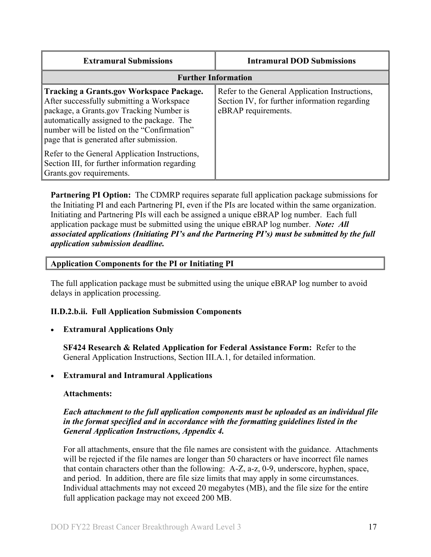| <b>Extramural Submissions</b>                                                                                                                                                                                                                                                     | <b>Intramural DOD Submissions</b>                                                                                      |  |  |  |
|-----------------------------------------------------------------------------------------------------------------------------------------------------------------------------------------------------------------------------------------------------------------------------------|------------------------------------------------------------------------------------------------------------------------|--|--|--|
| <b>Further Information</b>                                                                                                                                                                                                                                                        |                                                                                                                        |  |  |  |
| <b>Tracking a Grants.gov Workspace Package.</b><br>After successfully submitting a Workspace<br>package, a Grants.gov Tracking Number is<br>automatically assigned to the package. The<br>number will be listed on the "Confirmation"<br>page that is generated after submission. | Refer to the General Application Instructions,<br>Section IV, for further information regarding<br>eBRAP requirements. |  |  |  |
| Refer to the General Application Instructions,<br>Section III, for further information regarding<br>Grants.gov requirements.                                                                                                                                                      |                                                                                                                        |  |  |  |

**Partnering PI Option:** The CDMRP requires separate full application package submissions for the Initiating PI and each Partnering PI, even if the PIs are located within the same organization. Initiating and Partnering PIs will each be assigned a unique eBRAP log number. Each full application package must be submitted using the unique eBRAP log number. *Note: All associated applications (Initiating PI's and the Partnering PI's) must be submitted by the full application submission deadline.*

#### **Application Components for the PI or Initiating PI**

The full application package must be submitted using the unique eBRAP log number to avoid delays in application processing.

#### **II.D.2.b.ii. Full Application Submission Components**

**Extramural Applications Only** 

**SF424 Research & Related Application for Federal Assistance Form:** Refer to the General Application Instructions, Section III.A.1, for detailed information.

#### • **Extramural and Intramural Applications**

#### <span id="page-16-0"></span>**Attachments:**

#### *Each attachment to the full application components must be uploaded as an individual file in the format specified and in accordance with the formatting guidelines listed in the General Application Instructions, Appendix 4.*

For all attachments, ensure that the file names are consistent with the guidance. Attachments will be rejected if the file names are longer than 50 characters or have incorrect file names that contain characters other than the following: A-Z, a-z, 0-9, underscore, hyphen, space, and period. In addition, there are file size limits that may apply in some circumstances. Individual attachments may not exceed 20 megabytes (MB), and the file size for the entire full application package may not exceed 200 MB.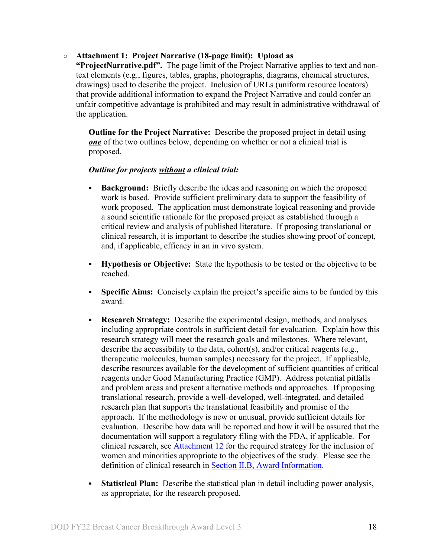#### ○ **Attachment 1: Project Narrative (18-page limit): Upload as**

**"ProjectNarrative.pdf".** The page limit of the Project Narrative applies to text and nontext elements (e.g., figures, tables, graphs, photographs, diagrams, chemical structures, drawings) used to describe the project. Inclusion of URLs (uniform resource locators) that provide additional information to expand the Project Narrative and could confer an unfair competitive advantage is prohibited and may result in administrative withdrawal of the application.

– **Outline for the Project Narrative:** Describe the proposed project in detail using **<u>one</u>** of the two outlines below, depending on whether or not a clinical trial is proposed.

#### *Outline for projects without a clinical trial:*

- **Background:** Briefly describe the ideas and reasoning on which the proposed work is based. Provide sufficient preliminary data to support the feasibility of work proposed. The application must demonstrate logical reasoning and provide a sound scientific rationale for the proposed project as established through a critical review and analysis of published literature. If proposing translational or clinical research, it is important to describe the studies showing proof of concept, and, if applicable, efficacy in an in vivo system.
- **Hypothesis or Objective:** State the hypothesis to be tested or the objective to be reached.
- **Specific Aims:** Concisely explain the project's specific aims to be funded by this award.
- **Research Strategy:** Describe the experimental design, methods, and analyses including appropriate controls in sufficient detail for evaluation. Explain how this research strategy will meet the research goals and milestones. Where relevant, describe the accessibility to the data, cohort(s), and/or critical reagents (e.g., therapeutic molecules, human samples) necessary for the project. If applicable, describe resources available for the development of sufficient quantities of critical reagents under Good Manufacturing Practice (GMP). Address potential pitfalls and problem areas and present alternative methods and approaches. If proposing translational research, provide a well-developed, well-integrated, and detailed research plan that supports the translational feasibility and promise of the approach. If the methodology is new or unusual, provide sufficient details for evaluation. Describe how data will be reported and how it will be assured that the documentation will support a regulatory filing with the FDA, if applicable. For clinical research, see [Attachment 12](#page-26-1) for the required strategy for the inclusion of women and minorities appropriate to the objectives of the study. Please see the definition of clinical research in [Section II.B, Award Information.](#page-6-0)
- **Statistical Plan:** Describe the statistical plan in detail including power analysis, as appropriate, for the research proposed.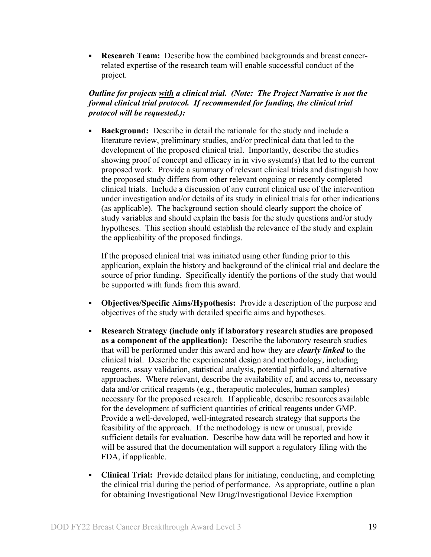**Research Team:** Describe how the combined backgrounds and breast cancerrelated expertise of the research team will enable successful conduct of the project.

# *Outline for projects with a clinical trial. (Note: The Project Narrative is not the formal clinical trial protocol. If recommended for funding, the clinical trial protocol will be requested.):*

 **Background:** Describe in detail the rationale for the study and include a literature review, preliminary studies, and/or preclinical data that led to the development of the proposed clinical trial. Importantly, describe the studies showing proof of concept and efficacy in in vivo system(s) that led to the current proposed work. Provide a summary of relevant clinical trials and distinguish how the proposed study differs from other relevant ongoing or recently completed clinical trials. Include a discussion of any current clinical use of the intervention under investigation and/or details of its study in clinical trials for other indications (as applicable). The background section should clearly support the choice of study variables and should explain the basis for the study questions and/or study hypotheses. This section should establish the relevance of the study and explain the applicability of the proposed findings.

If the proposed clinical trial was initiated using other funding prior to this application, explain the history and background of the clinical trial and declare the source of prior funding. Specifically identify the portions of the study that would be supported with funds from this award.

- **Objectives/Specific Aims/Hypothesis:** Provide a description of the purpose and objectives of the study with detailed specific aims and hypotheses.
- **Research Strategy (include only if laboratory research studies are proposed as a component of the application):** Describe the laboratory research studies that will be performed under this award and how they are *clearly linked* to the clinical trial. Describe the experimental design and methodology, including reagents, assay validation, statistical analysis, potential pitfalls, and alternative approaches. Where relevant, describe the availability of, and access to, necessary data and/or critical reagents (e.g., therapeutic molecules, human samples) necessary for the proposed research. If applicable, describe resources available for the development of sufficient quantities of critical reagents under GMP. Provide a well-developed, well-integrated research strategy that supports the feasibility of the approach. If the methodology is new or unusual, provide sufficient details for evaluation. Describe how data will be reported and how it will be assured that the documentation will support a regulatory filing with the FDA, if applicable.
- **Clinical Trial:** Provide detailed plans for initiating, conducting, and completing the clinical trial during the period of performance. As appropriate, outline a plan for obtaining Investigational New Drug/Investigational Device Exemption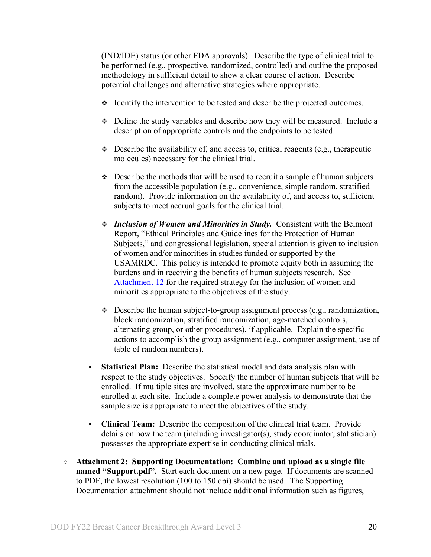(IND/IDE) status (or other FDA approvals). Describe the type of clinical trial to be performed (e.g., prospective, randomized, controlled) and outline the proposed methodology in sufficient detail to show a clear course of action. Describe potential challenges and alternative strategies where appropriate.

- $\div$  Identify the intervention to be tested and describe the projected outcomes.
- $\div$  Define the study variables and describe how they will be measured. Include a description of appropriate controls and the endpoints to be tested.
- $\bullet$  Describe the availability of, and access to, critical reagents (e.g., therapeutic molecules) necessary for the clinical trial.
- $\div$  Describe the methods that will be used to recruit a sample of human subjects from the accessible population (e.g., convenience, simple random, stratified random). Provide information on the availability of, and access to, sufficient subjects to meet accrual goals for the clinical trial.
- *Inclusion of Women and Minorities in Study.* Consistent with the Belmont Report, "Ethical Principles and Guidelines for the Protection of Human Subjects," and congressional legislation, special attention is given to inclusion of women and/or minorities in studies funded or supported by the USAMRDC. This policy is intended to promote equity both in assuming the burdens and in receiving the benefits of human subjects research. See [Attachment 12](#page-26-1) for the required strategy for the inclusion of women and minorities appropriate to the objectives of the study.
- $\triangle$  Describe the human subject-to-group assignment process (e.g., randomization, block randomization, stratified randomization, age-matched controls, alternating group, or other procedures), if applicable. Explain the specific actions to accomplish the group assignment (e.g., computer assignment, use of table of random numbers).
- **Statistical Plan:** Describe the statistical model and data analysis plan with respect to the study objectives. Specify the number of human subjects that will be enrolled. If multiple sites are involved, state the approximate number to be enrolled at each site. Include a complete power analysis to demonstrate that the sample size is appropriate to meet the objectives of the study.
- **Clinical Team:** Describe the composition of the clinical trial team. Provide details on how the team (including investigator(s), study coordinator, statistician) possesses the appropriate expertise in conducting clinical trials.
- **Attachment 2: Supporting Documentation: Combine and upload as a single file named "Support.pdf".** Start each document on a new page. If documents are scanned to PDF, the lowest resolution (100 to 150 dpi) should be used. The Supporting Documentation attachment should not include additional information such as figures,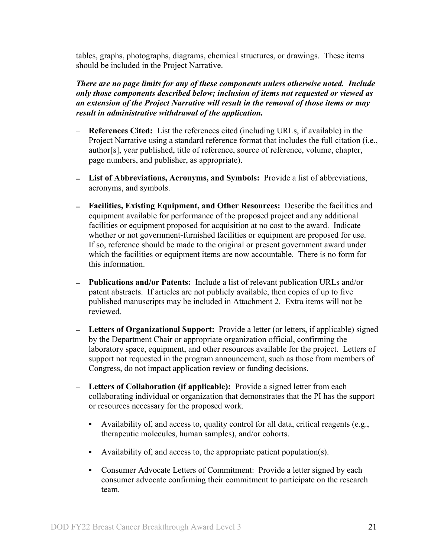tables, graphs, photographs, diagrams, chemical structures, or drawings. These items should be included in the Project Narrative.

*There are no page limits for any of these components unless otherwise noted. Include only those components described below; inclusion of items not requested or viewed as an extension of the Project Narrative will result in the removal of those items or may result in administrative withdrawal of the application.*

- **References Cited:** List the references cited (including URLs, if available) in the Project Narrative using a standard reference format that includes the full citation (i.e., author[s], year published, title of reference, source of reference, volume, chapter, page numbers, and publisher, as appropriate).
- **List of Abbreviations, Acronyms, and Symbols:** Provide a list of abbreviations, acronyms, and symbols.
- **Facilities, Existing Equipment, and Other Resources:** Describe the facilities and equipment available for performance of the proposed project and any additional facilities or equipment proposed for acquisition at no cost to the award. Indicate whether or not government-furnished facilities or equipment are proposed for use. If so, reference should be made to the original or present government award under which the facilities or equipment items are now accountable. There is no form for this information.
- **Publications and/or Patents:** Include a list of relevant publication URLs and/or patent abstracts. If articles are not publicly available, then copies of up to five published manuscripts may be included in Attachment 2. Extra items will not be reviewed.
- **Letters of Organizational Support:** Provide a letter (or letters, if applicable) signed by the Department Chair or appropriate organization official, confirming the laboratory space, equipment, and other resources available for the project. Letters of support not requested in the program announcement, such as those from members of Congress, do not impact application review or funding decisions.
- **Letters of Collaboration (if applicable):** Provide a signed letter from each collaborating individual or organization that demonstrates that the PI has the support or resources necessary for the proposed work.
	- Availability of, and access to, quality control for all data, critical reagents (e.g., therapeutic molecules, human samples), and/or cohorts.
	- Availability of, and access to, the appropriate patient population(s).
	- Consumer Advocate Letters of Commitment: Provide a letter signed by each consumer advocate confirming their commitment to participate on the research team.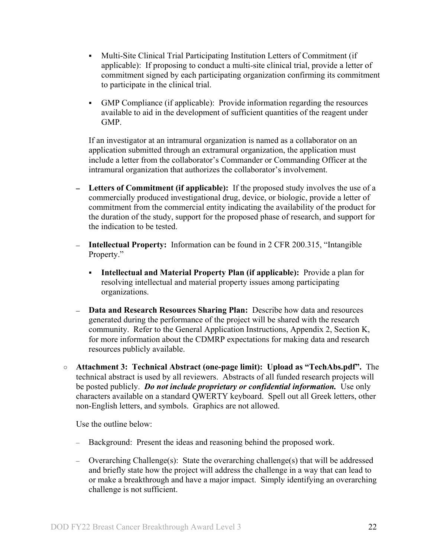- Multi-Site Clinical Trial Participating Institution Letters of Commitment (if applicable): If proposing to conduct a multi-site clinical trial, provide a letter of commitment signed by each participating organization confirming its commitment to participate in the clinical trial.
- GMP Compliance (if applicable): Provide information regarding the resources available to aid in the development of sufficient quantities of the reagent under GMP.

If an investigator at an intramural organization is named as a collaborator on an application submitted through an extramural organization, the application must include a letter from the collaborator's Commander or Commanding Officer at the intramural organization that authorizes the collaborator's involvement.

- **Letters of Commitment (if applicable):** If the proposed study involves the use of a commercially produced investigational drug, device, or biologic, provide a letter of commitment from the commercial entity indicating the availability of the product for the duration of the study, support for the proposed phase of research, and support for the indication to be tested.
- **Intellectual Property:** Information can be found in 2 CFR 200.315, "Intangible Property."
	- **Intellectual and Material Property Plan (if applicable):** Provide a plan for resolving intellectual and material property issues among participating organizations.
- **Data and Research Resources Sharing Plan:** Describe how data and resources generated during the performance of the project will be shared with the research community. Refer to the General Application Instructions, Appendix 2, Section K, for more information about the CDMRP expectations for making data and research resources publicly available.
- **Attachment 3: Technical Abstract (one-page limit): Upload as "TechAbs.pdf".** The technical abstract is used by all reviewers. Abstracts of all funded research projects will be posted publicly. *Do not include proprietary or confidential information.* Use only characters available on a standard QWERTY keyboard. Spell out all Greek letters, other non-English letters, and symbols. Graphics are not allowed.

Use the outline below:

- Background: Present the ideas and reasoning behind the proposed work.
- Overarching Challenge(s): State the overarching challenge(s) that will be addressed and briefly state how the project will address the challenge in a way that can lead to or make a breakthrough and have a major impact. Simply identifying an overarching challenge is not sufficient.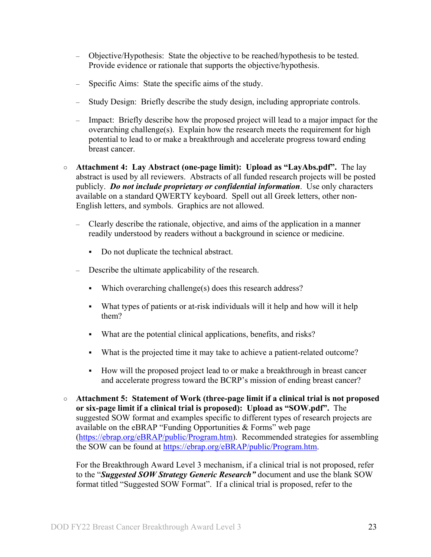- Objective/Hypothesis: State the objective to be reached/hypothesis to be tested. Provide evidence or rationale that supports the objective/hypothesis.
- Specific Aims: State the specific aims of the study.
- Study Design: Briefly describe the study design, including appropriate controls.
- Impact: Briefly describe how the proposed project will lead to a major impact for the overarching challenge(s). Explain how the research meets the requirement for high potential to lead to or make a breakthrough and accelerate progress toward ending breast cancer.
- **Attachment 4: Lay Abstract (one-page limit): Upload as "LayAbs.pdf".** The lay abstract is used by all reviewers. Abstracts of all funded research projects will be posted publicly. *Do not include proprietary or confidential information*. Use only characters available on a standard QWERTY keyboard. Spell out all Greek letters, other non-English letters, and symbols. Graphics are not allowed.
	- Clearly describe the rationale, objective, and aims of the application in a manner readily understood by readers without a background in science or medicine.
		- Do not duplicate the technical abstract.
	- Describe the ultimate applicability of the research.
		- Which overarching challenge(s) does this research address?
		- What types of patients or at-risk individuals will it help and how will it help them?
		- What are the potential clinical applications, benefits, and risks?
		- What is the projected time it may take to achieve a patient-related outcome?
		- How will the proposed project lead to or make a breakthrough in breast cancer and accelerate progress toward the BCRP's mission of ending breast cancer?
- **Attachment 5: Statement of Work (three-page limit if a clinical trial is not proposed or six-page limit if a clinical trial is proposed): Upload as "SOW.pdf".** The suggested SOW format and examples specific to different types of research projects are available on the eBRAP "Funding Opportunities & Forms" web page [\(https://ebrap.org/eBRAP/public/Program.htm\)](https://ebrap.org/eBRAP/public/Program.htm). Recommended strategies for assembling the SOW can be found at [https://ebrap.org/eBRAP/public/Program.htm.](https://ebrap.org/eBRAP/public/Program.htm)

For the Breakthrough Award Level 3 mechanism, if a clinical trial is not proposed, refer to the "*Suggested SOW Strategy Generic Research"* document and use the blank SOW format titled "Suggested SOW Format". If a clinical trial is proposed, refer to the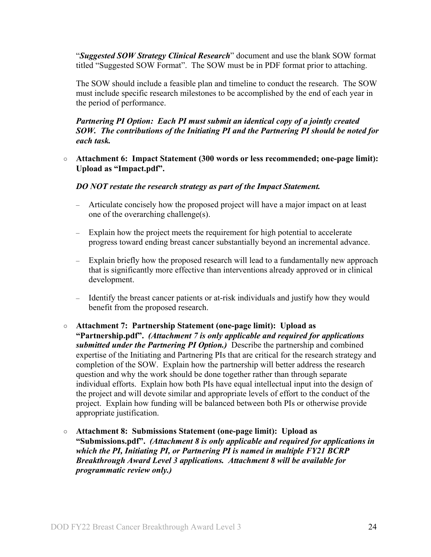"*Suggested SOW Strategy Clinical Research*" document and use the blank SOW format titled "Suggested SOW Format". The SOW must be in PDF format prior to attaching.

The SOW should include a feasible plan and timeline to conduct the research. The SOW must include specific research milestones to be accomplished by the end of each year in the period of performance.

#### *Partnering PI Option: Each PI must submit an identical copy of a jointly created SOW. The contributions of the Initiating PI and the Partnering PI should be noted for each task.*

#### ○ **Attachment 6: Impact Statement (300 words or less recommended; one-page limit): Upload as "Impact.pdf".**

#### *DO NOT restate the research strategy as part of the Impact Statement.*

- Articulate concisely how the proposed project will have a major impact on at least one of the overarching challenge(s).
- Explain how the project meets the requirement for high potential to accelerate progress toward ending breast cancer substantially beyond an incremental advance.
- Explain briefly how the proposed research will lead to a fundamentally new approach that is significantly more effective than interventions already approved or in clinical development.
- Identify the breast cancer patients or at-risk individuals and justify how they would benefit from the proposed research.
- **Attachment 7: Partnership Statement (one-page limit): Upload as "Partnership.pdf".** *(Attachment 7 is only applicable and required for applications submitted under the Partnering PI Option.)* Describe the partnership and combined expertise of the Initiating and Partnering PIs that are critical for the research strategy and completion of the SOW. Explain how the partnership will better address the research question and why the work should be done together rather than through separate individual efforts. Explain how both PIs have equal intellectual input into the design of the project and will devote similar and appropriate levels of effort to the conduct of the project. Explain how funding will be balanced between both PIs or otherwise provide appropriate justification.
- **Attachment 8: Submissions Statement (one-page limit): Upload as "Submissions.pdf".** *(Attachment 8 is only applicable and required for applications in which the PI, Initiating PI, or Partnering PI is named in multiple FY21 BCRP Breakthrough Award Level 3 applications. Attachment 8 will be available for programmatic review only.)*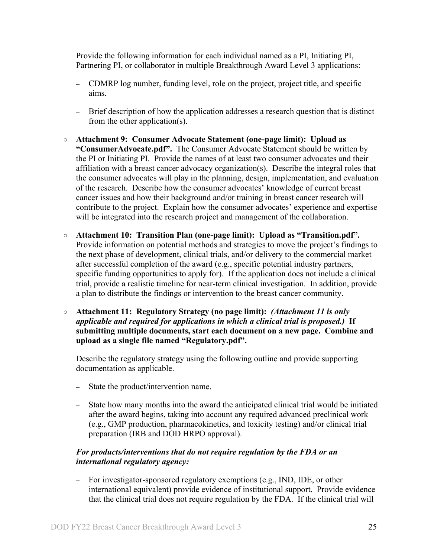Provide the following information for each individual named as a PI, Initiating PI, Partnering PI, or collaborator in multiple Breakthrough Award Level 3 applications:

- CDMRP log number, funding level, role on the project, project title, and specific aims.
- Brief description of how the application addresses a research question that is distinct from the other application(s).
- **Attachment 9: Consumer Advocate Statement (one-page limit): Upload as "ConsumerAdvocate.pdf".** The Consumer Advocate Statement should be written by the PI or Initiating PI. Provide the names of at least two consumer advocates and their affiliation with a breast cancer advocacy organization(s). Describe the integral roles that the consumer advocates will play in the planning, design, implementation, and evaluation of the research. Describe how the consumer advocates' knowledge of current breast cancer issues and how their background and/or training in breast cancer research will contribute to the project. Explain how the consumer advocates' experience and expertise will be integrated into the research project and management of the collaboration.
- **Attachment 10: Transition Plan (one-page limit): Upload as "Transition.pdf".**  Provide information on potential methods and strategies to move the project's findings to the next phase of development, clinical trials, and/or delivery to the commercial market after successful completion of the award (e.g., specific potential industry partners, specific funding opportunities to apply for). If the application does not include a clinical trial, provide a realistic timeline for near-term clinical investigation. In addition, provide a plan to distribute the findings or intervention to the breast cancer community.
- **Attachment 11: Regulatory Strategy (no page limit):** *(Attachment 11 is only applicable and required for applications in which a clinical trial is proposed.)* **If submitting multiple documents, start each document on a new page. Combine and upload as a single file named "Regulatory.pdf".**

Describe the regulatory strategy using the following outline and provide supporting documentation as applicable.

- State the product/intervention name.
- State how many months into the award the anticipated clinical trial would be initiated after the award begins, taking into account any required advanced preclinical work (e.g., GMP production, pharmacokinetics, and toxicity testing) and/or clinical trial preparation (IRB and DOD HRPO approval).

### *For products/interventions that do not require regulation by the FDA or an international regulatory agency:*

– For investigator-sponsored regulatory exemptions (e.g., IND, IDE, or other international equivalent) provide evidence of institutional support. Provide evidence that the clinical trial does not require regulation by the FDA. If the clinical trial will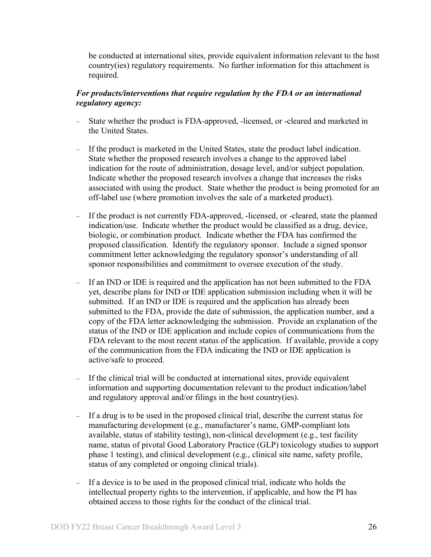be conducted at international sites, provide equivalent information relevant to the host country(ies) regulatory requirements. No further information for this attachment is required.

# *For products/interventions that require regulation by the FDA or an international regulatory agency:*

- State whether the product is FDA-approved, -licensed, or -cleared and marketed in the United States.
- If the product is marketed in the United States, state the product label indication. State whether the proposed research involves a change to the approved label indication for the route of administration, dosage level, and/or subject population. Indicate whether the proposed research involves a change that increases the risks associated with using the product. State whether the product is being promoted for an off-label use (where promotion involves the sale of a marketed product).
- If the product is not currently FDA-approved, -licensed, or -cleared, state the planned indication/use. Indicate whether the product would be classified as a drug, device, biologic, or combination product. Indicate whether the FDA has confirmed the proposed classification. Identify the regulatory sponsor. Include a signed sponsor commitment letter acknowledging the regulatory sponsor's understanding of all sponsor responsibilities and commitment to oversee execution of the study.
- If an IND or IDE is required and the application has not been submitted to the FDA yet, describe plans for IND or IDE application submission including when it will be submitted. If an IND or IDE is required and the application has already been submitted to the FDA, provide the date of submission, the application number, and a copy of the FDA letter acknowledging the submission. Provide an explanation of the status of the IND or IDE application and include copies of communications from the FDA relevant to the most recent status of the application. If available, provide a copy of the communication from the FDA indicating the IND or IDE application is active/safe to proceed.
- If the clinical trial will be conducted at international sites, provide equivalent information and supporting documentation relevant to the product indication/label and regulatory approval and/or filings in the host country(ies).
- If a drug is to be used in the proposed clinical trial, describe the current status for manufacturing development (e.g., manufacturer's name, GMP-compliant lots available, status of stability testing), non-clinical development (e.g., test facility name, status of pivotal Good Laboratory Practice (GLP) toxicology studies to support phase 1 testing), and clinical development (e.g., clinical site name, safety profile, status of any completed or ongoing clinical trials).
- If a device is to be used in the proposed clinical trial, indicate who holds the intellectual property rights to the intervention, if applicable, and how the PI has obtained access to those rights for the conduct of the clinical trial.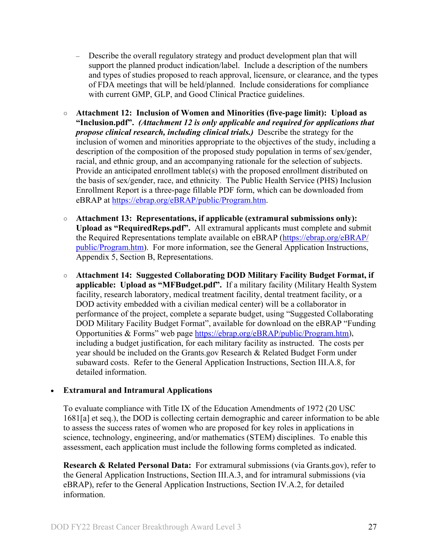- Describe the overall regulatory strategy and product development plan that will support the planned product indication/label. Include a description of the numbers and types of studies proposed to reach approval, licensure, or clearance, and the types of FDA meetings that will be held/planned. Include considerations for compliance with current GMP, GLP, and Good Clinical Practice guidelines.
- <span id="page-26-1"></span>○ **Attachment 12: Inclusion of Women and Minorities (five-page limit): Upload as "Inclusion.pdf".** *(Attachment 12 is only applicable and required for applications that propose clinical research, including clinical trials.)* Describe the strategy for the inclusion of women and minorities appropriate to the objectives of the study, including a description of the composition of the proposed study population in terms of sex/gender, racial, and ethnic group, and an accompanying rationale for the selection of subjects. Provide an anticipated enrollment table(s) with the proposed enrollment distributed on the basis of sex/gender, race, and ethnicity. The Public Health Service (PHS) Inclusion Enrollment Report is a three-page fillable PDF form, which can be downloaded from eBRAP at [https://ebrap.org/eBRAP/public/Program.htm.](https://ebrap.org/eBRAP/public/Program.htm)
- **Attachment 13: Representations, if applicable (extramural submissions only): Upload as "RequiredReps.pdf".** All extramural applicants must complete and submit the Required Representations template available on eBRAP [\(https://ebrap.org/eBRAP/](https://ebrap.org/eBRAP/public/Program.htm) [public/Program.htm\)](https://ebrap.org/eBRAP/public/Program.htm). For more information, see the General Application Instructions, Appendix 5, Section B, Representations.
- <span id="page-26-2"></span>○ **Attachment 14: Suggested Collaborating DOD Military Facility Budget Format, if applicable: Upload as "MFBudget.pdf".** If a military facility (Military Health System facility, research laboratory, medical treatment facility, dental treatment facility, or a DOD activity embedded with a civilian medical center) will be a collaborator in performance of the project, complete a separate budget, using "Suggested Collaborating DOD Military Facility Budget Format", available for download on the eBRAP "Funding Opportunities & Forms" web page [https://ebrap.org/eBRAP/public/Program.htm\)](https://ebrap.org/eBRAP/public/Program.htm), including a budget justification, for each military facility as instructed. The costs per year should be included on the Grants.gov Research & Related Budget Form under subaward costs. Refer to the General Application Instructions, Section III.A.8, for detailed information.

#### • **Extramural and Intramural Applications**

To evaluate compliance with Title IX of the Education Amendments of 1972 (20 USC 1681[a] et seq.), the DOD is collecting certain demographic and career information to be able to assess the success rates of women who are proposed for key roles in applications in science, technology, engineering, and/or mathematics (STEM) disciplines. To enable this assessment, each application must include the following forms completed as indicated.

<span id="page-26-0"></span>**Research & Related Personal Data:** For extramural submissions (via Grants.gov), refer to the General Application Instructions, Section III.A.3, and for intramural submissions (via eBRAP), refer to the General Application Instructions, Section IV.A.2, for detailed information.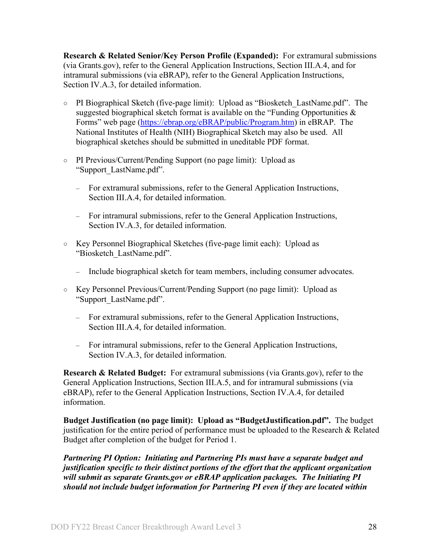<span id="page-27-0"></span>**Research & Related Senior/Key Person Profile (Expanded):** For extramural submissions (via Grants.gov), refer to the General Application Instructions, Section III.A.4, and for intramural submissions (via eBRAP), refer to the General Application Instructions, Section IV.A.3, for detailed information.

- PI Biographical Sketch (five-page limit): Upload as "Biosketch\_LastName.pdf". The suggested biographical sketch format is available on the "Funding Opportunities  $\&$ Forms" web page [\(https://ebrap.org/eBRAP/public/Program.htm\)](https://ebrap.org/eBRAP/public/Program.htm) in eBRAP. The National Institutes of Health (NIH) Biographical Sketch may also be used. All biographical sketches should be submitted in uneditable PDF format.
- PI Previous/Current/Pending Support (no page limit): Upload as "Support\_LastName.pdf".
	- For extramural submissions, refer to the General Application Instructions, Section III.A.4, for detailed information.
	- For intramural submissions, refer to the General Application Instructions, Section IV.A.3, for detailed information.
- Key Personnel Biographical Sketches (five-page limit each): Upload as "Biosketch\_LastName.pdf".
	- Include biographical sketch for team members, including consumer advocates.
- Key Personnel Previous/Current/Pending Support (no page limit): Upload as "Support\_LastName.pdf".
	- For extramural submissions, refer to the General Application Instructions, Section III.A.4, for detailed information.
	- For intramural submissions, refer to the General Application Instructions, Section IV.A.3, for detailed information.

<span id="page-27-1"></span>**Research & Related Budget:** For extramural submissions (via Grants.gov), refer to the General Application Instructions, Section III.A.5, and for intramural submissions (via eBRAP), refer to the General Application Instructions, Section IV.A.4, for detailed information.

**Budget Justification (no page limit): Upload as "BudgetJustification.pdf".** The budget justification for the entire period of performance must be uploaded to the Research & Related Budget after completion of the budget for Period 1.

*Partnering PI Option: Initiating and Partnering PIs must have a separate budget and justification specific to their distinct portions of the effort that the applicant organization will submit as separate Grants.gov or eBRAP application packages. The Initiating PI should not include budget information for Partnering PI even if they are located within*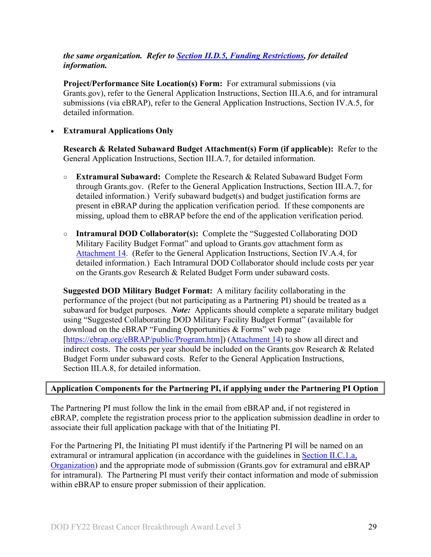### *the same organization. Refer to Section [II.D.5, Funding Restrictions,](#page-32-0) for detailed information.*

**Project/Performance Site Location(s) Form:** For extramural submissions (via Grants.gov), refer to the General Application Instructions, Section III.A.6, and for intramural submissions (via eBRAP), refer to the General Application Instructions, Section IV.A.5, for detailed information.

#### • **Extramural Applications Only**

<span id="page-28-0"></span>**Research & Related Subaward Budget Attachment(s) Form (if applicable):** Refer to the General Application Instructions, Section III.A.7, for detailed information.

- **Extramural Subaward:** Complete the Research & Related Subaward Budget Form through Grants.gov. (Refer to the General Application Instructions, Section III.A.7, for detailed information.) Verify subaward budget(s) and budget justification forms are present in eBRAP during the application verification period. If these components are missing, upload them to eBRAP before the end of the application verification period.
- **Intramural DOD Collaborator(s):** Complete the "Suggested Collaborating DOD Military Facility Budget Format" and upload to Grants.gov attachment form as [Attachment 14.](#page-26-2) (Refer to the General Application Instructions, Section IV.A.4, for detailed information.) Each Intramural DOD Collaborator should include costs per year on the Grants.gov Research & Related Budget Form under subaward costs.

**Suggested DOD Military Budget Format:** A military facility collaborating in the performance of the project (but not participating as a Partnering PI) should be treated as a subaward for budget purposes. *Note:*Applicants should complete a separate military budget using "Suggested Collaborating DOD Military Facility Budget Format" (available for download on the eBRAP "Funding Opportunities & Forms" web page [\[https://ebrap.org/eBRAP/public/Program.htm\]](https://ebrap.org/eBRAP/public/Program.htm)) [\(Attachment 14\)](#page-26-2) to show all direct and indirect costs. The costs per year should be included on the Grants.gov Research & Related Budget Form under subaward costs. Refer to the General Application Instructions, Section III.A.8, for detailed information.

#### **Application Components for the Partnering PI, if applying under the Partnering PI Option**

The Partnering PI must follow the link in the email from eBRAP and, if not registered in eBRAP, complete the registration process prior to the application submission deadline in order to associate their full application package with that of the Initiating PI.

For the Partnering PI, the Initiating PI must identify if the Partnering PI will be named on an extramural or intramural application (in accordance with the guidelines in Section [II.C.1.a,](#page-7-2)  [Organization\)](#page-7-2) and the appropriate mode of submission (Grants.gov for extramural and eBRAP for intramural). The Partnering PI must verify their contact information and mode of submission within eBRAP to ensure proper submission of their application.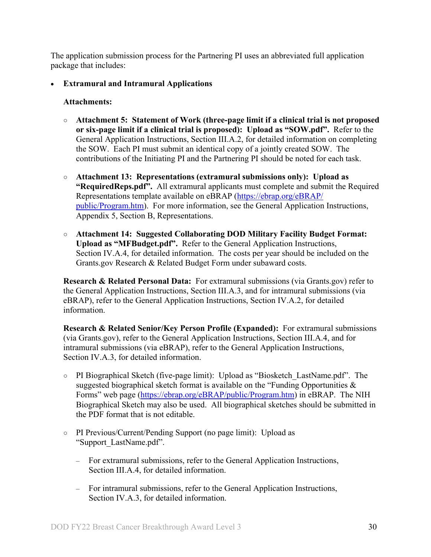The application submission process for the Partnering PI uses an abbreviated full application package that includes:

• **Extramural and Intramural Applications** 

#### **Attachments:**

- **Attachment 5: Statement of Work (three-page limit if a clinical trial is not proposed or six-page limit if a clinical trial is proposed): Upload as "SOW.pdf".** Refer to the General Application Instructions, Section III.A.2, for detailed information on completing the SOW. Each PI must submit an identical copy of a jointly created SOW. The contributions of the Initiating PI and the Partnering PI should be noted for each task.
- **Attachment 13: Representations (extramural submissions only): Upload as "RequiredReps.pdf".** All extramural applicants must complete and submit the Required Representations template available on eBRAP [\(https://ebrap.org/eBRAP/](https://ebrap.org/eBRAP/public/Program.htm) [public/Program.htm\)](https://ebrap.org/eBRAP/public/Program.htm). For more information, see the General Application Instructions, Appendix 5, Section B, Representations.
- **Attachment 14: Suggested Collaborating DOD Military Facility Budget Format: Upload as "MFBudget.pdf".** Refer to the General Application Instructions, Section IV.A.4, for detailed information. The costs per year should be included on the Grants.gov Research & Related Budget Form under subaward costs.

**Research & Related Personal Data:** For extramural submissions (via Grants.gov) refer to the General Application Instructions, Section III.A.3, and for intramural submissions (via eBRAP), refer to the General Application Instructions, Section IV.A.2, for detailed information.

**Research & Related Senior/Key Person Profile (Expanded):** For extramural submissions (via Grants.gov), refer to the General Application Instructions, Section III.A.4, and for intramural submissions (via eBRAP), refer to the General Application Instructions, Section IV.A.3, for detailed information.

- PI Biographical Sketch (five-page limit): Upload as "Biosketch\_LastName.pdf". The suggested biographical sketch format is available on the "Funding Opportunities  $\&$ Forms" web page [\(https://ebrap.org/eBRAP/public/Program.htm\)](https://ebrap.org/eBRAP/public/Program.htm) in eBRAP. The NIH Biographical Sketch may also be used. All biographical sketches should be submitted in the PDF format that is not editable.
- PI Previous/Current/Pending Support (no page limit): Upload as "Support\_LastName.pdf".
	- For extramural submissions, refer to the General Application Instructions, Section III.A.4, for detailed information.
	- For intramural submissions, refer to the General Application Instructions, Section IV.A.3, for detailed information.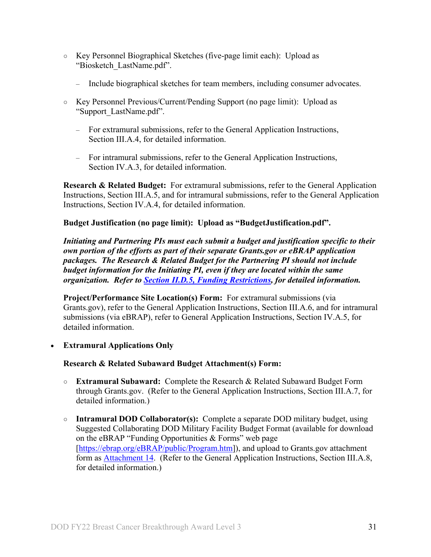- Key Personnel Biographical Sketches (five-page limit each): Upload as "Biosketch\_LastName.pdf".
	- Include biographical sketches for team members, including consumer advocates.
- Key Personnel Previous/Current/Pending Support (no page limit): Upload as "Support\_LastName.pdf".
	- For extramural submissions, refer to the General Application Instructions, Section III.A.4, for detailed information.
	- For intramural submissions, refer to the General Application Instructions, Section IV.A.3, for detailed information.

**Research & Related Budget:** For extramural submissions, refer to the General Application Instructions, Section III.A.5, and for intramural submissions, refer to the General Application Instructions, Section IV.A.4, for detailed information.

### **Budget Justification (no page limit): Upload as "BudgetJustification.pdf".**

*Initiating and Partnering PIs must each submit a budget and justification specific to their own portion of the efforts as part of their separate Grants.gov or eBRAP application packages. The Research & Related Budget for the Partnering PI should not include budget information for the Initiating PI, even if they are located within the same organization. Refer to [Section II.D.5, Funding Restrictions,](#page-32-0) for detailed information.* 

<span id="page-30-0"></span>**Project/Performance Site Location(s) Form:** For extramural submissions (via Grants.gov), refer to the General Application Instructions, Section III.A.6, and for intramural submissions (via eBRAP), refer to General Application Instructions, Section IV.A.5, for detailed information.

• **Extramural Applications Only** 

### **Research & Related Subaward Budget Attachment(s) Form:**

- **Extramural Subaward:** Complete the Research & Related Subaward Budget Form through Grants.gov. (Refer to the General Application Instructions, Section III.A.7, for detailed information.)
- **Intramural DOD Collaborator(s):** Complete a separate DOD military budget, using Suggested Collaborating DOD Military Facility Budget Format (available for download on the eBRAP "Funding Opportunities & Forms" web page [\[https://ebrap.org/eBRAP/public/Program.htm\]](https://ebrap.org/eBRAP/public/Program.htm)), and upload to Grants.gov attachment form as [Attachment 14.](#page-26-2) (Refer to the General Application Instructions, Section III.A.8, for detailed information.)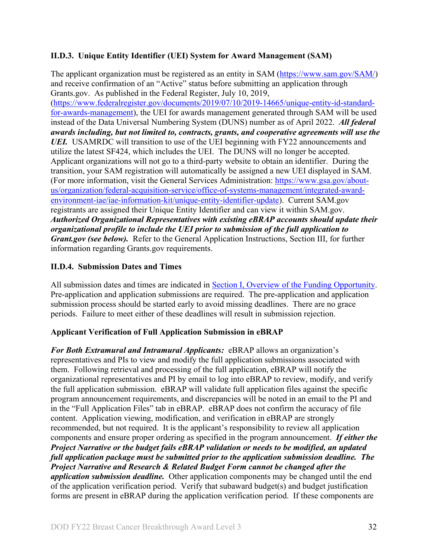# <span id="page-31-0"></span>**II.D.3. Unique Entity Identifier (UEI) System for Award Management (SAM)**

The applicant organization must be registered as an entity in SAM [\(https://www.sam.gov/SAM/\)](https://www.sam.gov/SAM/) and receive confirmation of an "Active" status before submitting an application through Grants.gov. As published in the Federal Register, July 10, 2019, [\(https://www.federalregister.gov/documents/2019/07/10/2019-14665/unique-entity-id-standard](https://www.federalregister.gov/documents/2019/07/10/2019-14665/unique-entity-id-standard-for-awards-management)[for-awards-management\)](https://www.federalregister.gov/documents/2019/07/10/2019-14665/unique-entity-id-standard-for-awards-management), the UEI for awards management generated through SAM will be used instead of the Data Universal Numbering System (DUNS) number as of April 2022. *All federal awards including, but not limited to, contracts, grants, and cooperative agreements will use the UEI.* USAMRDC will transition to use of the UEI beginning with FY22 announcements and utilize the latest SF424, which includes the UEI. The DUNS will no longer be accepted. Applicant organizations will not go to a third-party website to obtain an identifier. During the transition, your SAM registration will automatically be assigned a new UEI displayed in SAM. (For more information, visit the General Services Administration: [https://www.gsa.gov/about](https://www.gsa.gov/about-us/organization/federal-acquisition-service/office-of-systems-management/integrated-award-environment-iae/iae-information-kit/unique-entity-identifier-update)[us/organization/federal-acquisition-service/office-of-systems-management/integrated-award](https://www.gsa.gov/about-us/organization/federal-acquisition-service/office-of-systems-management/integrated-award-environment-iae/iae-information-kit/unique-entity-identifier-update)[environment-iae/iae-information-kit/unique-entity-identifier-update\)](https://www.gsa.gov/about-us/organization/federal-acquisition-service/office-of-systems-management/integrated-award-environment-iae/iae-information-kit/unique-entity-identifier-update). Current SAM.gov registrants are assigned their Unique Entity Identifier and can view it within SAM.gov. *Authorized Organizational Representatives with existing eBRAP accounts should update their organizational profile to include the UEI prior to submission of the full application to Grant.gov (see below).* Refer to the General Application Instructions, Section III, for further information regarding Grants.gov requirements.

# <span id="page-31-1"></span>**II.D.4. Submission Dates and Times**

All submission dates and times are indicated in [Section I, Overview of the Funding Opportunity.](#page-0-1) Pre-application and application submissions are required. The pre-application and application submission process should be started early to avoid missing deadlines. There are no grace periods. Failure to meet either of these deadlines will result in submission rejection.

### <span id="page-31-2"></span>**Applicant Verification of Full Application Submission in eBRAP**

*For Both Extramural and Intramural Applicants:* eBRAP allows an organization's representatives and PIs to view and modify the full application submissions associated with them. Following retrieval and processing of the full application, eBRAP will notify the organizational representatives and PI by email to log into eBRAP to review, modify, and verify the full application submission. eBRAP will validate full application files against the specific program announcement requirements, and discrepancies will be noted in an email to the PI and in the "Full Application Files" tab in eBRAP. eBRAP does not confirm the accuracy of file content. Application viewing, modification, and verification in eBRAP are strongly recommended, but not required. It is the applicant's responsibility to review all application components and ensure proper ordering as specified in the program announcement. *If either the Project Narrative or the budget fails eBRAP validation or needs to be modified, an updated full application package must be submitted prior to the application submission deadline. The Project Narrative and Research & Related Budget Form cannot be changed after the application submission deadline.* Other application components may be changed until the end of the [application verification period.](#page-0-0) Verify that subaward budget(s) and budget justification forms are present in eBRAP during the application verification period. If these components are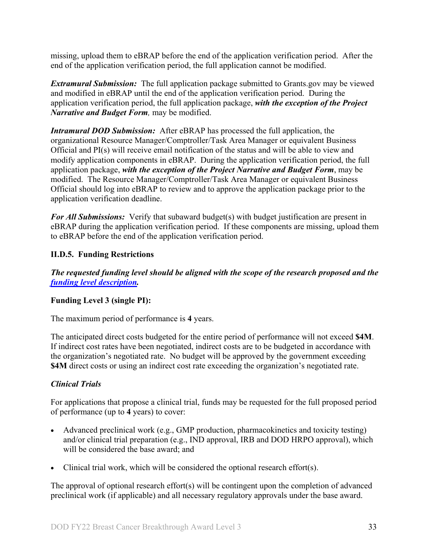missing, upload them to eBRAP before the end of the application verification period. After the end of the application verification period, the full application cannot be modified.

*Extramural Submission:* The full application package submitted to Grants.gov may be viewed and modified in eBRAP until the end of the application verification period. During the application verification period, the full application package, *with the exception of the Project Narrative and Budget Form,* may be modified.

*Intramural DOD Submission:* After eBRAP has processed the full application, the organizational Resource Manager/Comptroller/Task Area Manager or equivalent Business Official and PI(s) will receive email notification of the status and will be able to view and modify application components in eBRAP. During the application verification period, the full application package, *with the exception of the Project Narrative and Budget Form*, may be modified. The Resource Manager/Comptroller/Task Area Manager or equivalent Business Official should log into eBRAP to review and to approve the application package prior to the application verification deadline.

*For All Submissions:* Verify that subaward budget(s) with budget justification are present in eBRAP during the application verification period. If these components are missing, upload them to eBRAP before the end of the application verification period.

# <span id="page-32-0"></span>**II.D.5. Funding Restrictions**

*The requested funding level should be aligned with the scope of the research proposed and the [funding level description.](#page-3-1)*

### **Funding Level 3 (single PI):**

The maximum period of performance is **4** years.

The anticipated direct costs budgeted for the entire period of performance will not exceed **\$4M**. If indirect cost rates have been negotiated, indirect costs are to be budgeted in accordance with the organization's negotiated rate. No budget will be approved by the government exceeding **\$4M** direct costs or using an indirect cost rate exceeding the organization's negotiated rate.

### *Clinical Trials*

For applications that propose a clinical trial, funds may be requested for the full proposed period of performance (up to **4** years) to cover:

- Advanced preclinical work (e.g., GMP production, pharmacokinetics and toxicity testing) and/or clinical trial preparation (e.g., IND approval, IRB and DOD HRPO approval), which will be considered the base award; and
- Clinical trial work, which will be considered the optional research effort(s).

The approval of optional research effort(s) will be contingent upon the completion of advanced preclinical work (if applicable) and all necessary regulatory approvals under the base award.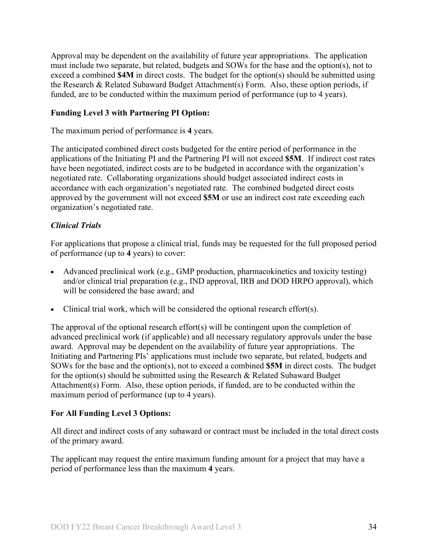Approval may be dependent on the availability of future year appropriations. The application must include two separate, but related, budgets and SOWs for the base and the option(s), not to exceed a combined **\$4M** in direct costs. The budget for the option(s) should be submitted using the Research & Related Subaward Budget Attachment(s) Form. Also, these option periods, if funded, are to be conducted within the maximum period of performance (up to 4 years).

# **Funding Level 3 with Partnering PI Option:**

The maximum period of performance is **4** years.

The anticipated combined direct costs budgeted for the entire period of performance in the applications of the Initiating PI and the Partnering PI will not exceed **\$5M**. If indirect cost rates have been negotiated, indirect costs are to be budgeted in accordance with the organization's negotiated rate. Collaborating organizations should budget associated indirect costs in accordance with each organization's negotiated rate. The combined budgeted direct costs approved by the government will not exceed **\$5M** or use an indirect cost rate exceeding each organization's negotiated rate.

# *Clinical Trials*

For applications that propose a clinical trial, funds may be requested for the full proposed period of performance (up to **4** years) to cover:

- Advanced preclinical work (e.g., GMP production, pharmacokinetics and toxicity testing) and/or clinical trial preparation (e.g., IND approval, IRB and DOD HRPO approval), which will be considered the base award; and
- Clinical trial work, which will be considered the optional research effort(s).

The approval of the optional research effort(s) will be contingent upon the completion of advanced preclinical work (if applicable) and all necessary regulatory approvals under the base award. Approval may be dependent on the availability of future year appropriations. The Initiating and Partnering PIs' applications must include two separate, but related, budgets and SOWs for the base and the option(s), not to exceed a combined **\$5M** in direct costs. The budget for the option(s) should be submitted using the Research & Related Subaward Budget Attachment(s) Form. Also, these option periods, if funded, are to be conducted within the maximum period of performance (up to 4 years).

### **For All Funding Level 3 Options:**

All direct and indirect costs of any subaward or contract must be included in the total direct costs of the primary award.

The applicant may request the entire maximum funding amount for a project that may have a period of performance less than the maximum **4** years.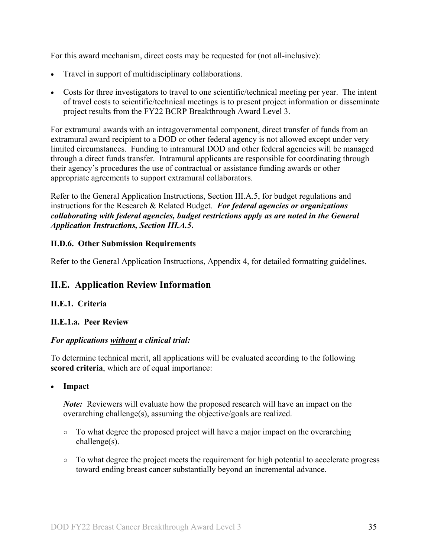For this award mechanism, direct costs may be requested for (not all-inclusive):

- Travel in support of multidisciplinary collaborations.
- Costs for three investigators to travel to one scientific/technical meeting per year. The intent of travel costs to scientific/technical meetings is to present project information or disseminate project results from the FY22 BCRP Breakthrough Award Level 3.

For extramural awards with an intragovernmental component, direct transfer of funds from an extramural award recipient to a DOD or other federal agency is not allowed except under very limited circumstances. Funding to intramural DOD and other federal agencies will be managed through a direct funds transfer. Intramural applicants are responsible for coordinating through their agency's procedures the use of contractual or assistance funding awards or other appropriate agreements to support extramural collaborators.

Refer to the General Application Instructions, Section III.A.5, for budget regulations and instructions for the Research & Related Budget. *For federal agencies or organizations collaborating with federal agencies, budget restrictions apply as are noted in the General Application Instructions, Section III.A.5***.**

#### <span id="page-34-0"></span>**II.D.6. Other Submission Requirements**

Refer to the General Application Instructions, Appendix 4, for detailed formatting guidelines.

# <span id="page-34-1"></span>**II.E. Application Review Information**

### <span id="page-34-2"></span>**II.E.1. Criteria**

### **II.E.1.a. Peer Review**

### *For applications without a clinical trial:*

To determine technical merit, all applications will be evaluated according to the following **scored criteria**, which are of equal importance:

#### • **Impact**

*Note*: Reviewers will evaluate how the proposed research will have an impact on the overarching challenge(s), assuming the objective/goals are realized.

- To what degree the proposed project will have a major impact on the overarching challenge(s).
- To what degree the project meets the requirement for high potential to accelerate progress toward ending breast cancer substantially beyond an incremental advance.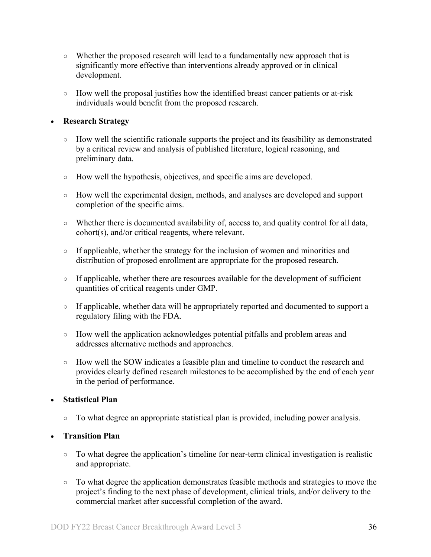- Whether the proposed research will lead to a fundamentally new approach that is significantly more effective than interventions already approved or in clinical development.
- How well the proposal justifies how the identified breast cancer patients or at-risk individuals would benefit from the proposed research.

# • **Research Strategy**

- How well the scientific rationale supports the project and its feasibility as demonstrated by a critical review and analysis of published literature, logical reasoning, and preliminary data.
- How well the hypothesis, objectives, and specific aims are developed.
- How well the experimental design, methods, and analyses are developed and support completion of the specific aims.
- Whether there is documented availability of, access to, and quality control for all data, cohort(s), and/or critical reagents, where relevant.
- If applicable, whether the strategy for the inclusion of women and minorities and distribution of proposed enrollment are appropriate for the proposed research.
- If applicable, whether there are resources available for the development of sufficient quantities of critical reagents under GMP.
- If applicable, whether data will be appropriately reported and documented to support a regulatory filing with the FDA.
- How well the application acknowledges potential pitfalls and problem areas and addresses alternative methods and approaches.
- How well the SOW indicates a feasible plan and timeline to conduct the research and provides clearly defined research milestones to be accomplished by the end of each year in the period of performance.

# • **Statistical Plan**

○ To what degree an appropriate statistical plan is provided, including power analysis.

# • **Transition Plan**

- To what degree the application's timeline for near-term clinical investigation is realistic and appropriate.
- To what degree the application demonstrates feasible methods and strategies to move the project's finding to the next phase of development, clinical trials, and/or delivery to the commercial market after successful completion of the award.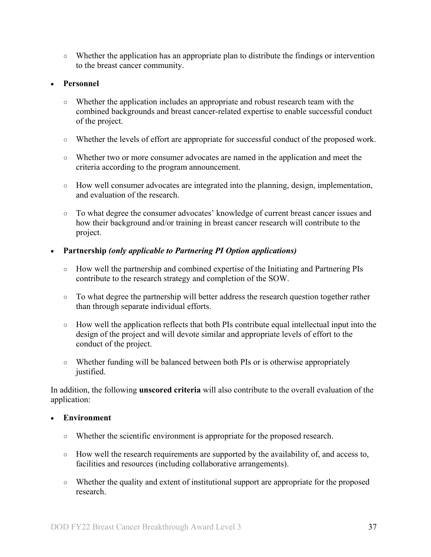○ Whether the application has an appropriate plan to distribute the findings or intervention to the breast cancer community.

#### • **Personnel**

- Whether the application includes an appropriate and robust research team with the combined backgrounds and breast cancer-related expertise to enable successful conduct of the project.
- Whether the levels of effort are appropriate for successful conduct of the proposed work.
- Whether two or more consumer advocates are named in the application and meet the criteria according to the program announcement.
- How well consumer advocates are integrated into the planning, design, implementation, and evaluation of the research.
- To what degree the consumer advocates' knowledge of current breast cancer issues and how their background and/or training in breast cancer research will contribute to the project.

#### • **Partnership** *(only applicable to Partnering PI Option applications)*

- How well the partnership and combined expertise of the Initiating and Partnering PIs contribute to the research strategy and completion of the SOW.
- To what degree the partnership will better address the research question together rather than through separate individual efforts.
- How well the application reflects that both PIs contribute equal intellectual input into the design of the project and will devote similar and appropriate levels of effort to the conduct of the project.
- Whether funding will be balanced between both PIs or is otherwise appropriately justified.

In addition, the following **unscored criteria** will also contribute to the overall evaluation of the application:

#### • **Environment**

- Whether the scientific environment is appropriate for the proposed research.
- How well the research requirements are supported by the availability of, and access to, facilities and resources (including collaborative arrangements).
- Whether the quality and extent of institutional support are appropriate for the proposed research.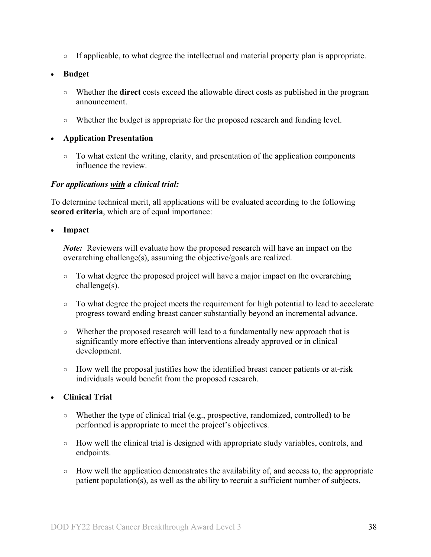○ If applicable, to what degree the intellectual and material property plan is appropriate.

• **Budget**

- Whether the **direct** costs exceed the allowable direct costs as published in the program announcement.
- Whether the budget is appropriate for the proposed research and funding level.

#### • **Application Presentation**

 $\circ$  To what extent the writing, clarity, and presentation of the application components influence the review.

#### *For applications with a clinical trial:*

To determine technical merit, all applications will be evaluated according to the following **scored criteria**, which are of equal importance:

• **Impact**

*Note:* Reviewers will evaluate how the proposed research will have an impact on the overarching challenge(s), assuming the objective/goals are realized.

- $\circ$  To what degree the proposed project will have a major impact on the overarching challenge(s).
- To what degree the project meets the requirement for high potential to lead to accelerate progress toward ending breast cancer substantially beyond an incremental advance.
- Whether the proposed research will lead to a fundamentally new approach that is significantly more effective than interventions already approved or in clinical development.
- How well the proposal justifies how the identified breast cancer patients or at-risk individuals would benefit from the proposed research.

### • **Clinical Trial**

- $\circ$  Whether the type of clinical trial (e.g., prospective, randomized, controlled) to be performed is appropriate to meet the project's objectives.
- How well the clinical trial is designed with appropriate study variables, controls, and endpoints.
- $\circ$  How well the application demonstrates the availability of, and access to, the appropriate patient population(s), as well as the ability to recruit a sufficient number of subjects.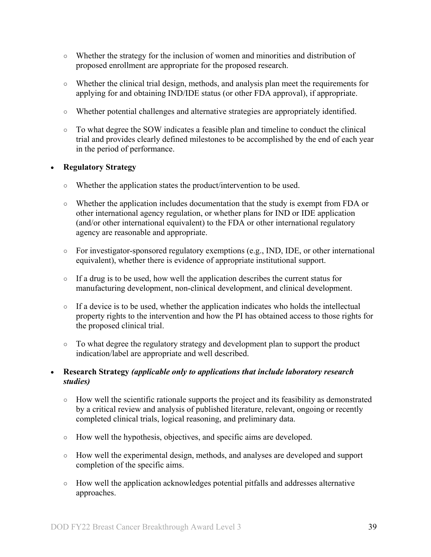- Whether the strategy for the inclusion of women and minorities and distribution of proposed enrollment are appropriate for the proposed research.
- Whether the clinical trial design, methods, and analysis plan meet the requirements for applying for and obtaining IND/IDE status (or other FDA approval), if appropriate.
- Whether potential challenges and alternative strategies are appropriately identified.
- To what degree the SOW indicates a feasible plan and timeline to conduct the clinical trial and provides clearly defined milestones to be accomplished by the end of each year in the period of performance.

#### • **Regulatory Strategy**

- Whether the application states the product/intervention to be used.
- Whether the application includes documentation that the study is exempt from FDA or other international agency regulation, or whether plans for IND or IDE application (and/or other international equivalent) to the FDA or other international regulatory agency are reasonable and appropriate.
- $\circ$  For investigator-sponsored regulatory exemptions (e.g., IND, IDE, or other international equivalent), whether there is evidence of appropriate institutional support.
- If a drug is to be used, how well the application describes the current status for manufacturing development, non-clinical development, and clinical development.
- If a device is to be used, whether the application indicates who holds the intellectual property rights to the intervention and how the PI has obtained access to those rights for the proposed clinical trial.
- To what degree the regulatory strategy and development plan to support the product indication/label are appropriate and well described.

### • **Research Strategy** *(applicable only to applications that include laboratory research studies)*

- How well the scientific rationale supports the project and its feasibility as demonstrated by a critical review and analysis of published literature, relevant, ongoing or recently completed clinical trials, logical reasoning, and preliminary data.
- How well the hypothesis, objectives, and specific aims are developed.
- How well the experimental design, methods, and analyses are developed and support completion of the specific aims.
- How well the application acknowledges potential pitfalls and addresses alternative approaches.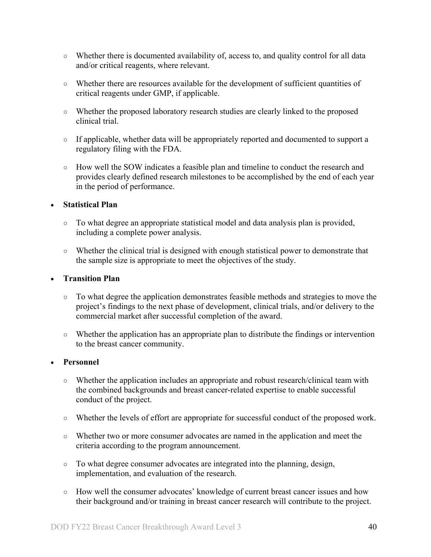- Whether there is documented availability of, access to, and quality control for all data and/or critical reagents, where relevant.
- Whether there are resources available for the development of sufficient quantities of critical reagents under GMP, if applicable.
- Whether the proposed laboratory research studies are clearly linked to the proposed clinical trial.
- If applicable, whether data will be appropriately reported and documented to support a regulatory filing with the FDA.
- How well the SOW indicates a feasible plan and timeline to conduct the research and provides clearly defined research milestones to be accomplished by the end of each year in the period of performance.

### • **Statistical Plan**

- To what degree an appropriate statistical model and data analysis plan is provided, including a complete power analysis.
- Whether the clinical trial is designed with enough statistical power to demonstrate that the sample size is appropriate to meet the objectives of the study.

#### • **Transition Plan**

- To what degree the application demonstrates feasible methods and strategies to move the project's findings to the next phase of development, clinical trials, and/or delivery to the commercial market after successful completion of the award.
- Whether the application has an appropriate plan to distribute the findings or intervention to the breast cancer community.

### • **Personnel**

- Whether the application includes an appropriate and robust research/clinical team with the combined backgrounds and breast cancer-related expertise to enable successful conduct of the project.
- Whether the levels of effort are appropriate for successful conduct of the proposed work.
- Whether two or more consumer advocates are named in the application and meet the criteria according to the program announcement.
- To what degree consumer advocates are integrated into the planning, design, implementation, and evaluation of the research.
- How well the consumer advocates' knowledge of current breast cancer issues and how their background and/or training in breast cancer research will contribute to the project.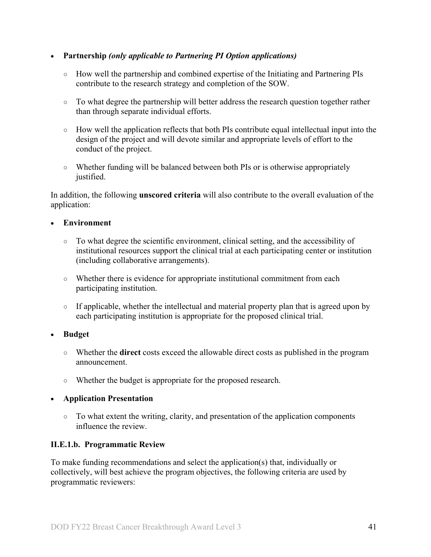### • **Partnership** *(only applicable to Partnering PI Option applications)*

- How well the partnership and combined expertise of the Initiating and Partnering PIs contribute to the research strategy and completion of the SOW.
- To what degree the partnership will better address the research question together rather than through separate individual efforts.
- How well the application reflects that both PIs contribute equal intellectual input into the design of the project and will devote similar and appropriate levels of effort to the conduct of the project.
- Whether funding will be balanced between both PIs or is otherwise appropriately justified.

In addition, the following **unscored criteria** will also contribute to the overall evaluation of the application:

### • **Environment**

- To what degree the scientific environment, clinical setting, and the accessibility of institutional resources support the clinical trial at each participating center or institution (including collaborative arrangements).
- Whether there is evidence for appropriate institutional commitment from each participating institution.
- If applicable, whether the intellectual and material property plan that is agreed upon by each participating institution is appropriate for the proposed clinical trial.

### • **Budget**

- Whether the **direct** costs exceed the allowable direct costs as published in the program announcement.
- Whether the budget is appropriate for the proposed research.

### • **Application Presentation**

○ To what extent the writing, clarity, and presentation of the application components influence the review.

#### <span id="page-40-0"></span>**II.E.1.b. Programmatic Review**

To make funding recommendations and select the application(s) that, individually or collectively, will best achieve the program objectives, the following criteria are used by programmatic reviewers: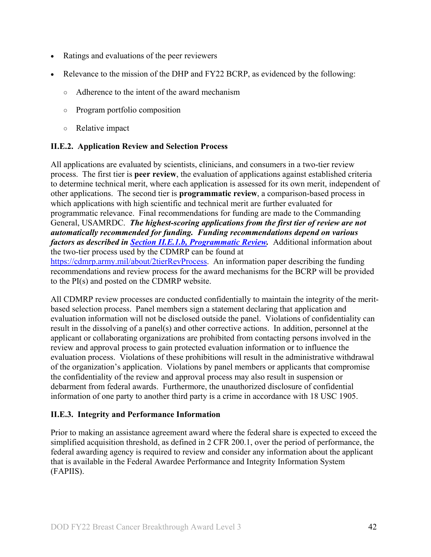- Ratings and evaluations of the peer reviewers
- Relevance to the mission of the DHP and FY22 BCRP, as evidenced by the following:
	- Adherence to the intent of the award mechanism
	- Program portfolio composition
	- Relative impact

# <span id="page-41-0"></span>**II.E.2. Application Review and Selection Process**

All applications are evaluated by scientists, clinicians, and consumers in a two-tier review process. The first tier is **peer review**, the evaluation of applications against established criteria to determine technical merit, where each application is assessed for its own merit, independent of other applications. The second tier is **programmatic review**, a comparison-based process in which applications with high scientific and technical merit are further evaluated for programmatic relevance. Final recommendations for funding are made to the Commanding General, USAMRDC. *The highest-scoring applications from the first tier of review are not automatically recommended for funding. Funding recommendations depend on various factors as described in Section [II.E.1.b, Programmatic Review.](#page-40-0)* Additional information about the two-tier process used by the CDMRP can be found at [https://cdmrp.army.mil/about/2tierRevProcess.](http://cdmrp.army.mil/about/2tierRevProcess) An information paper describing the funding

recommendations and review process for the award mechanisms for the BCRP will be provided to the PI(s) and posted on the CDMRP website.

All CDMRP review processes are conducted confidentially to maintain the integrity of the meritbased selection process. Panel members sign a statement declaring that application and evaluation information will not be disclosed outside the panel. Violations of confidentiality can result in the dissolving of a panel(s) and other corrective actions. In addition, personnel at the applicant or collaborating organizations are prohibited from contacting persons involved in the review and approval process to gain protected evaluation information or to influence the evaluation process. Violations of these prohibitions will result in the administrative withdrawal of the organization's application. Violations by panel members or applicants that compromise the confidentiality of the review and approval process may also result in suspension or debarment from federal awards. Furthermore, the unauthorized disclosure of confidential information of one party to another third party is a crime in accordance with 18 USC 1905.

# <span id="page-41-1"></span>**II.E.3. Integrity and Performance Information**

Prior to making an assistance agreement award where the federal share is expected to exceed the simplified acquisition threshold, as defined in 2 CFR 200.1, over the period of performance, the federal awarding agency is required to review and consider any information about the applicant that is available in the Federal Awardee Performance and Integrity Information System (FAPIIS).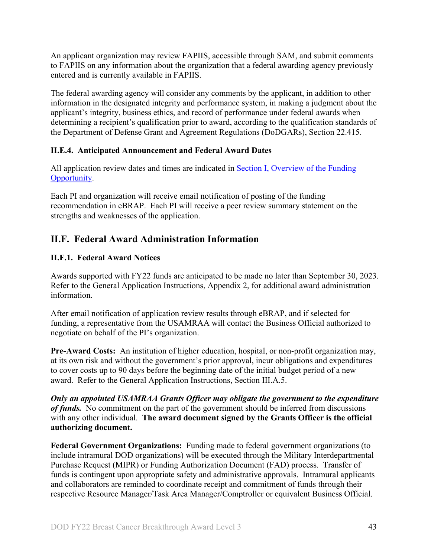An applicant organization may review FAPIIS, accessible through SAM, and submit comments to FAPIIS on any information about the organization that a federal awarding agency previously entered and is currently available in FAPIIS.

The federal awarding agency will consider any comments by the applicant, in addition to other information in the designated integrity and performance system, in making a judgment about the applicant's integrity, business ethics, and record of performance under federal awards when determining a recipient's qualification prior to award, according to the qualification standards of the Department of Defense Grant and Agreement Regulations (DoDGARs), Section 22.415.

# <span id="page-42-0"></span>**II.E.4. Anticipated Announcement and Federal Award Dates**

All application review dates and times are indicated in [Section I, Overview of the Funding](#page-0-1)  [Opportunity.](#page-0-1)

Each PI and organization will receive email notification of posting of the funding recommendation in eBRAP. Each PI will receive a peer review summary statement on the strengths and weaknesses of the application.

# <span id="page-42-1"></span>**II.F. Federal Award Administration Information**

# <span id="page-42-2"></span>**II.F.1. Federal Award Notices**

Awards supported with FY22 funds are anticipated to be made no later than September 30, 2023. Refer to the General Application Instructions, Appendix 2, for additional award administration information.

After email notification of application review results through eBRAP, and if selected for funding, a representative from the USAMRAA will contact the Business Official authorized to negotiate on behalf of the PI's organization.

**Pre-Award Costs:** An institution of higher education, hospital, or non-profit organization may, at its own risk and without the government's prior approval, incur obligations and expenditures to cover costs up to 90 days before the beginning date of the initial budget period of a new award. Refer to the General Application Instructions, Section III.A.5.

*Only an appointed USAMRAA Grants Officer may obligate the government to the expenditure of funds.* No commitment on the part of the government should be inferred from discussions with any other individual. **The award document signed by the Grants Officer is the official authorizing document.**

**Federal Government Organizations:**Funding made to federal government organizations (to include intramural DOD organizations) will be executed through the Military Interdepartmental Purchase Request (MIPR) or Funding Authorization Document (FAD) process. Transfer of funds is contingent upon appropriate safety and administrative approvals. Intramural applicants and collaborators are reminded to coordinate receipt and commitment of funds through their respective Resource Manager/Task Area Manager/Comptroller or equivalent Business Official.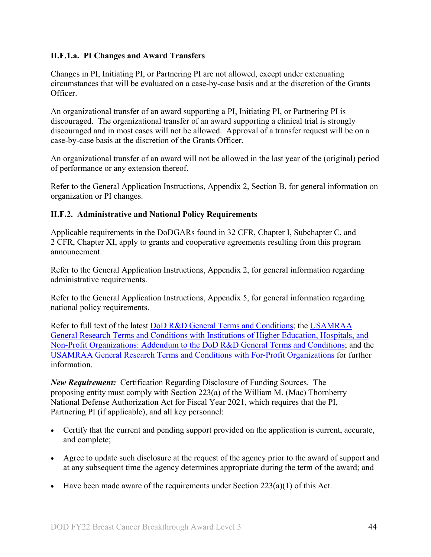# **II.F.1.a. PI Changes and Award Transfers**

Changes in PI, Initiating PI, or Partnering PI are not allowed, except under extenuating circumstances that will be evaluated on a case-by-case basis and at the discretion of the Grants Officer.

An organizational transfer of an award supporting a PI, Initiating PI, or Partnering PI is discouraged. The organizational transfer of an award supporting a clinical trial is strongly discouraged and in most cases will not be allowed. Approval of a transfer request will be on a case-by-case basis at the discretion of the Grants Officer.

An organizational transfer of an award will not be allowed in the last year of the (original) period of performance or any extension thereof.

Refer to the General Application Instructions, Appendix 2, Section B, for general information on organization or PI changes.

# <span id="page-43-0"></span>**II.F.2. Administrative and National Policy Requirements**

Applicable requirements in the DoDGARs found in 32 CFR, Chapter I, Subchapter C, and 2 CFR, Chapter XI, apply to grants and cooperative agreements resulting from this program announcement.

Refer to the General Application Instructions, Appendix 2, for general information regarding administrative requirements.

Refer to the General Application Instructions, Appendix 5, for general information regarding national policy requirements.

Refer to full text of the latest DoD [R&D General Terms and Conditions;](https://www.onr.navy.mil/work-with-us/manage-your-award/manage-grant-award/grants-terms-conditions) the [USAMRAA](https://www.usamraa.army.mil/Pages/Resources.aspx)  [General Research Terms and Conditions with Institutions of Higher Education, Hospitals, and](https://www.usamraa.army.mil/Pages/Resources.aspx)  [Non-Profit Organizations: Addendum to the DoD](https://www.usamraa.army.mil/Pages/Resources.aspx) R&D General Terms and Conditions; and the [USAMRAA General Research Terms and Conditions with For-Profit Organizations](https://www.usamraa.army.mil/Pages/Resources.aspx) for further information.

*New Requirement:* Certification Regarding Disclosure of Funding Sources. The proposing entity must comply with Section 223(a) of the William M. (Mac) Thornberry National Defense Authorization Act for Fiscal Year 2021, which requires that the PI, Partnering PI (if applicable), and all key personnel:

- Certify that the current and pending support provided on the application is current, accurate, and complete;
- Agree to update such disclosure at the request of the agency prior to the award of support and at any subsequent time the agency determines appropriate during the term of the award; and
- Have been made aware of the requirements under Section  $223(a)(1)$  of this Act.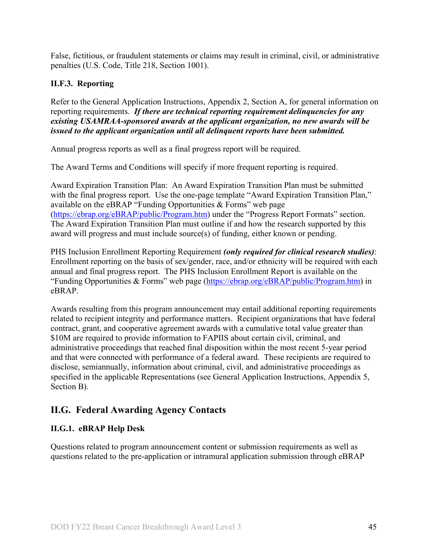False, fictitious, or fraudulent statements or claims may result in criminal, civil, or administrative penalties (U.S. Code, Title 218, Section 1001).

# <span id="page-44-0"></span>**II.F.3. Reporting**

Refer to the General Application Instructions, Appendix 2, Section A, for general information on reporting requirements. *If there are technical reporting requirement delinquencies for any existing USAMRAA-sponsored awards at the applicant organization, no new awards will be issued to the applicant organization until all delinquent reports have been submitted.*

Annual progress reports as well as a final progress report will be required.

The Award Terms and Conditions will specify if more frequent reporting is required.

Award Expiration Transition Plan: An Award Expiration Transition Plan must be submitted with the final progress report. Use the one-page template "Award Expiration Transition Plan," available on the eBRAP "Funding Opportunities & Forms" web page [\(https://ebrap.org/eBRAP/public/Program.htm\)](https://ebrap.org/eBRAP/public/Program.htm) under the "Progress Report Formats" section. The Award Expiration Transition Plan must outline if and how the research supported by this award will progress and must include source(s) of funding, either known or pending.

PHS Inclusion Enrollment Reporting Requirement *(only required for clinical research studies)*: Enrollment reporting on the basis of sex/gender, race, and/or ethnicity will be required with each annual and final progress report. The PHS Inclusion Enrollment Report is available on the "Funding Opportunities & Forms" web page [\(https://ebrap.org/eBRAP/public/Program.htm\)](https://ebrap.org/eBRAP/public/Program.htm) in eBRAP.

Awards resulting from this program announcement may entail additional reporting requirements related to recipient integrity and performance matters. Recipient organizations that have federal contract, grant, and cooperative agreement awards with a cumulative total value greater than \$10M are required to provide information to FAPIIS about certain civil, criminal, and administrative proceedings that reached final disposition within the most recent 5-year period and that were connected with performance of a federal award. These recipients are required to disclose, semiannually, information about criminal, civil, and administrative proceedings as specified in the applicable Representations (see General Application Instructions, Appendix 5, Section B).

# <span id="page-44-1"></span>**II.G. Federal Awarding Agency Contacts**

# <span id="page-44-2"></span>**II.G.1. eBRAP Help Desk**

Questions related to program announcement content or submission requirements as well as questions related to the pre-application or intramural application submission through eBRAP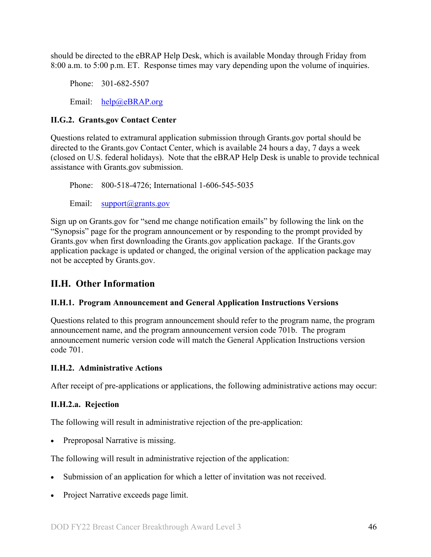should be directed to the eBRAP Help Desk, which is available Monday through Friday from 8:00 a.m. to 5:00 p.m. ET. Response times may vary depending upon the volume of inquiries.

Phone: 301-682-5507 Email: [help@eBRAP.org](mailto:help@eBRAP.org)

# <span id="page-45-0"></span>**II.G.2. Grants.gov Contact Center**

Questions related to extramural application submission through Grants.gov portal should be directed to the Grants.gov Contact Center, which is available 24 hours a day, 7 days a week (closed on U.S. federal holidays). Note that the eBRAP Help Desk is unable to provide technical assistance with Grants.gov submission.

Phone: 800-518-4726; International 1-606-545-5035 Email: [support@grants.gov](mailto:support@grants.gov)

Sign up on Grants.gov for "send me change notification emails" by following the link on the "Synopsis" page for the program announcement or by responding to the prompt provided by Grants.gov when first downloading the Grants.gov application package. If the Grants.gov application package is updated or changed, the original version of the application package may not be accepted by Grants.gov.

# <span id="page-45-1"></span>**II.H. Other Information**

### <span id="page-45-2"></span>**II.H.1. Program Announcement and General Application Instructions Versions**

Questions related to this program announcement should refer to the program name, the program announcement name, and the program announcement version code 701b. The program announcement numeric version code will match the General Application Instructions version code 701.

### <span id="page-45-3"></span>**II.H.2. Administrative Actions**

After receipt of pre-applications or applications, the following administrative actions may occur:

# **II.H.2.a. Rejection**

The following will result in administrative rejection of the pre-application:

• Preproposal Narrative is missing.

The following will result in administrative rejection of the application:

- Submission of an application for which a letter of invitation was not received.
- Project Narrative exceeds page limit.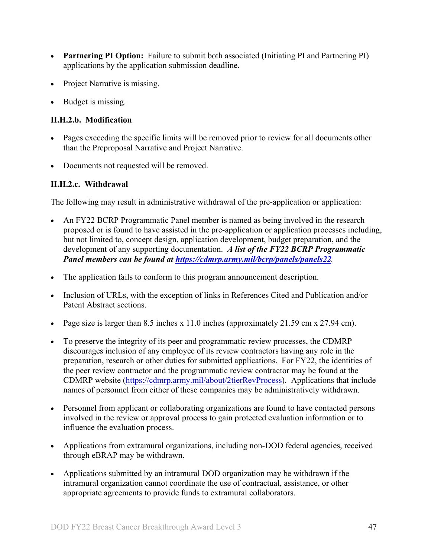- **Partnering PI Option:** Failure to submit both associated (Initiating PI and Partnering PI) applications by the application submission deadline.
- Project Narrative is missing.
- Budget is missing.

# **II.H.2.b. Modification**

- Pages exceeding the specific limits will be removed prior to review for all documents other than the Preproposal Narrative and Project Narrative.
- Documents not requested will be removed.

# <span id="page-46-0"></span>**II.H.2.c. Withdrawal**

The following may result in administrative withdrawal of the pre-application or application:

- An FY22 BCRP Programmatic Panel member is named as being involved in the research proposed or is found to have assisted in the pre-application or application processes including, but not limited to, concept design, application development, budget preparation, and the development of any supporting documentation. *A list of the FY22 BCRP Programmatic Panel members can be found at<https://cdmrp.army.mil/bcrp/panels/panels22>.*
- The application fails to conform to this program announcement description.
- Inclusion of URLs, with the exception of links in References Cited and Publication and/or Patent Abstract sections.
- Page size is larger than 8.5 inches x 11.0 inches (approximately 21.59 cm x 27.94 cm).
- To preserve the integrity of its peer and programmatic review processes, the CDMRP discourages inclusion of any employee of its review contractors having any role in the preparation, research or other duties for submitted applications. For FY22, the identities of the peer review contractor and the programmatic review contractor may be found at the CDMRP website [\(https://cdmrp.army.mil/about/2tierRevProcess\)](https://cdmrp.army.mil/about/2tierRevProcess). Applications that include names of personnel from either of these companies may be administratively withdrawn.
- Personnel from applicant or collaborating organizations are found to have contacted persons involved in the review or approval process to gain protected evaluation information or to influence the evaluation process.
- Applications from extramural organizations, including non-DOD federal agencies, received through eBRAP may be withdrawn.
- Applications submitted by an intramural DOD organization may be withdrawn if the intramural organization cannot coordinate the use of contractual, assistance, or other appropriate agreements to provide funds to extramural collaborators.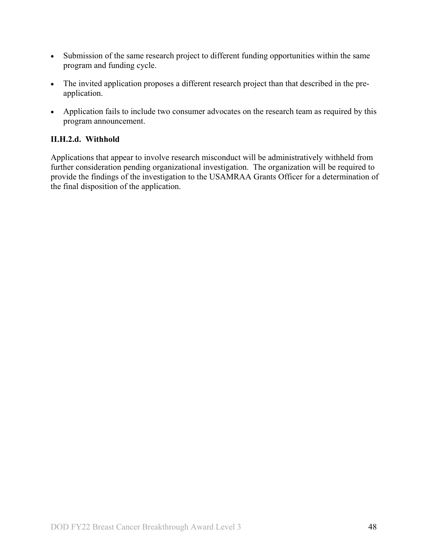- Submission of the same research project to different funding opportunities within the same program and funding cycle.
- The invited application proposes a different research project than that described in the preapplication.
- Application fails to include two consumer advocates on the research team as required by this program announcement.

### **II.H.2.d. Withhold**

Applications that appear to involve research misconduct will be administratively withheld from further consideration pending organizational investigation. The organization will be required to provide the findings of the investigation to the USAMRAA Grants Officer for a determination of the final disposition of the application.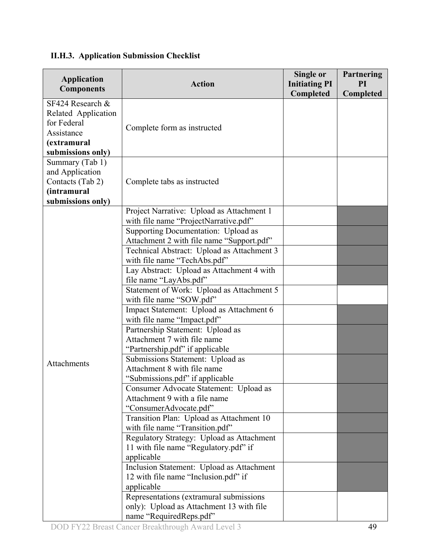#### **Application Components Action Single or Initiating PI Completed Partnering PI Completed** SF424 Research & Related Application for Federal Assistance **(extramural submissions only)** Complete form as instructed Summary (Tab 1) and Application Contacts (Tab 2) **(intramural submissions only)** Complete tabs as instructed Attachments Project Narrative: Upload as Attachment 1 with file name "ProjectNarrative.pdf" Supporting Documentation: Upload as Attachment 2 with file name "Support.pdf" Technical Abstract: Upload as Attachment 3 with file name "TechAbs.pdf" Lay Abstract: Upload as Attachment 4 with file name "LayAbs.pdf" Statement of Work: Upload as Attachment 5 with file name "SOW.pdf" Impact Statement: Upload as Attachment 6 with file name "Impact.pdf" Partnership Statement: Upload as Attachment 7 with file name "Partnership.pdf" if applicable Submissions Statement: Upload as Attachment 8 with file name "Submissions.pdf" if applicable Consumer Advocate Statement: Upload as Attachment 9 with a file name "ConsumerAdvocate.pdf" Transition Plan: Upload as Attachment 10 with file name "Transition.pdf" Regulatory Strategy: Upload as Attachment 11 with file name "Regulatory.pdf" if applicable Inclusion Statement: Upload as Attachment 12 with file name "Inclusion.pdf" if applicable Representations (extramural submissions only): Upload as Attachment 13 with file name "RequiredReps.pdf"

#### <span id="page-48-0"></span>**II.H.3. Application Submission Checklist**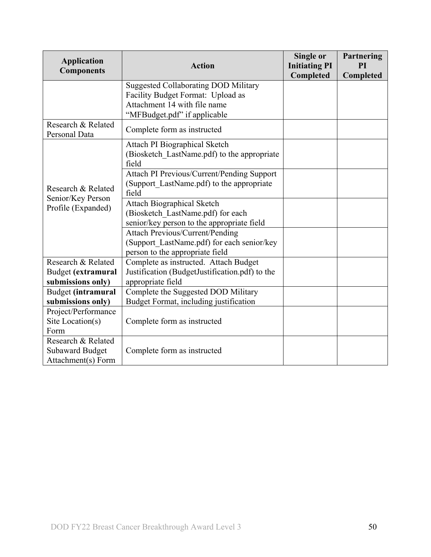| <b>Application</b><br><b>Components</b> | <b>Action</b>                                  | Single or<br><b>Initiating PI</b> | Partnering<br>PI |
|-----------------------------------------|------------------------------------------------|-----------------------------------|------------------|
|                                         |                                                | Completed                         | Completed        |
|                                         | <b>Suggested Collaborating DOD Military</b>    |                                   |                  |
|                                         | Facility Budget Format: Upload as              |                                   |                  |
|                                         | Attachment 14 with file name                   |                                   |                  |
|                                         | "MFBudget.pdf" if applicable                   |                                   |                  |
| Research & Related                      | Complete form as instructed                    |                                   |                  |
| Personal Data                           |                                                |                                   |                  |
|                                         | Attach PI Biographical Sketch                  |                                   |                  |
|                                         | (Biosketch LastName.pdf) to the appropriate    |                                   |                  |
|                                         | field                                          |                                   |                  |
|                                         | Attach PI Previous/Current/Pending Support     |                                   |                  |
| Research & Related                      | (Support LastName.pdf) to the appropriate      |                                   |                  |
| Senior/Key Person<br>Profile (Expanded) | field                                          |                                   |                  |
|                                         | <b>Attach Biographical Sketch</b>              |                                   |                  |
|                                         | (Biosketch LastName.pdf) for each              |                                   |                  |
|                                         | senior/key person to the appropriate field     |                                   |                  |
|                                         | <b>Attach Previous/Current/Pending</b>         |                                   |                  |
|                                         | (Support LastName.pdf) for each senior/key     |                                   |                  |
|                                         | person to the appropriate field                |                                   |                  |
| Research & Related                      | Complete as instructed. Attach Budget          |                                   |                  |
| Budget (extramural                      | Justification (BudgetJustification.pdf) to the |                                   |                  |
| submissions only)                       | appropriate field                              |                                   |                  |
| Budget (intramural                      | Complete the Suggested DOD Military            |                                   |                  |
| submissions only)                       | Budget Format, including justification         |                                   |                  |
| Project/Performance                     |                                                |                                   |                  |
| Site Location(s)                        | Complete form as instructed                    |                                   |                  |
| Form                                    |                                                |                                   |                  |
| Research & Related                      |                                                |                                   |                  |
| <b>Subaward Budget</b>                  | Complete form as instructed                    |                                   |                  |
| Attachment(s) Form                      |                                                |                                   |                  |